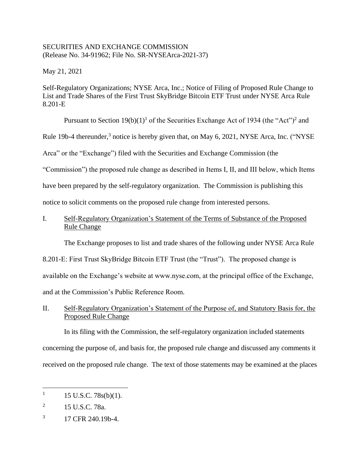# SECURITIES AND EXCHANGE COMMISSION (Release No. 34-91962; File No. SR-NYSEArca-2021-37)

May 21, 2021

Self-Regulatory Organizations; NYSE Arca, Inc.; Notice of Filing of Proposed Rule Change to List and Trade Shares of the First Trust SkyBridge Bitcoin ETF Trust under NYSE Arca Rule 8.201-E

Pursuant to Section  $19(b)(1)^1$  of the Securities Exchange Act of 1934 (the "Act")<sup>2</sup> and

Rule 19b-4 thereunder,<sup>3</sup> notice is hereby given that, on May 6, 2021, NYSE Arca, Inc. ("NYSE

Arca" or the "Exchange") filed with the Securities and Exchange Commission (the

"Commission") the proposed rule change as described in Items I, II, and III below, which Items

have been prepared by the self-regulatory organization. The Commission is publishing this

notice to solicit comments on the proposed rule change from interested persons.

# I. Self-Regulatory Organization's Statement of the Terms of Substance of the Proposed Rule Change

The Exchange proposes to list and trade shares of the following under NYSE Arca Rule

8.201-E: First Trust SkyBridge Bitcoin ETF Trust (the "Trust"). The proposed change is available on the Exchange's website at www.nyse.com, at the principal office of the Exchange,

and at the Commission's Public Reference Room.

# II. Self-Regulatory Organization's Statement of the Purpose of, and Statutory Basis for, the Proposed Rule Change

In its filing with the Commission, the self-regulatory organization included statements concerning the purpose of, and basis for, the proposed rule change and discussed any comments it received on the proposed rule change. The text of those statements may be examined at the places

 $1 \quad 15 \text{ U.S.C. } 78 \text{s(b)}(1).$ 

<sup>&</sup>lt;sup>2</sup> 15 U.S.C. 78a.

<sup>3</sup> 17 CFR 240.19b-4.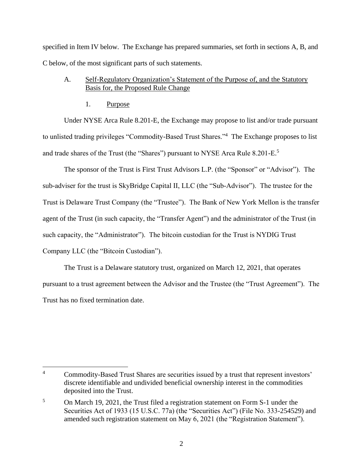specified in Item IV below. The Exchange has prepared summaries, set forth in sections A, B, and C below, of the most significant parts of such statements.

# A. Self-Regulatory Organization's Statement of the Purpose of, and the Statutory Basis for, the Proposed Rule Change

1. Purpose

Under NYSE Arca Rule 8.201-E, the Exchange may propose to list and/or trade pursuant to unlisted trading privileges "Commodity-Based Trust Shares."<sup>4</sup> The Exchange proposes to list and trade shares of the Trust (the "Shares") pursuant to NYSE Arca Rule 8.201-E.<sup>5</sup>

The sponsor of the Trust is First Trust Advisors L.P. (the "Sponsor" or "Advisor"). The sub-adviser for the trust is SkyBridge Capital II, LLC (the "Sub-Advisor"). The trustee for the Trust is Delaware Trust Company (the "Trustee"). The Bank of New York Mellon is the transfer agent of the Trust (in such capacity, the "Transfer Agent") and the administrator of the Trust (in such capacity, the "Administrator"). The bitcoin custodian for the Trust is NYDIG Trust Company LLC (the "Bitcoin Custodian").

The Trust is a Delaware statutory trust, organized on March 12, 2021, that operates pursuant to a trust agreement between the Advisor and the Trustee (the "Trust Agreement"). The Trust has no fixed termination date.

 $\overline{4}$ Commodity-Based Trust Shares are securities issued by a trust that represent investors' discrete identifiable and undivided beneficial ownership interest in the commodities deposited into the Trust.

<sup>5</sup> On March 19, 2021, the Trust filed a registration statement on Form S-1 under the Securities Act of 1933 (15 U.S.C. 77a) (the "Securities Act") (File No. 333-254529) and amended such registration statement on May 6, 2021 (the "Registration Statement").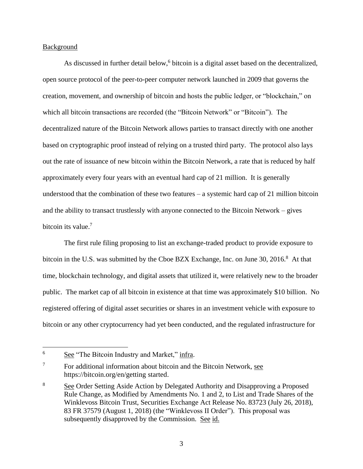## Background

As discussed in further detail below, $6$  bitcoin is a digital asset based on the decentralized, open source protocol of the peer-to-peer computer network launched in 2009 that governs the creation, movement, and ownership of bitcoin and hosts the public ledger, or "blockchain," on which all bitcoin transactions are recorded (the "Bitcoin Network" or "Bitcoin"). The decentralized nature of the Bitcoin Network allows parties to transact directly with one another based on cryptographic proof instead of relying on a trusted third party. The protocol also lays out the rate of issuance of new bitcoin within the Bitcoin Network, a rate that is reduced by half approximately every four years with an eventual hard cap of 21 million. It is generally understood that the combination of these two features  $-$  a systemic hard cap of 21 million bitcoin and the ability to transact trustlessly with anyone connected to the Bitcoin Network – gives bitcoin its value.<sup>7</sup>

The first rule filing proposing to list an exchange-traded product to provide exposure to bitcoin in the U.S. was submitted by the Cboe BZX Exchange, Inc. on June 30, 2016.<sup>8</sup> At that time, blockchain technology, and digital assets that utilized it, were relatively new to the broader public. The market cap of all bitcoin in existence at that time was approximately \$10 billion. No registered offering of digital asset securities or shares in an investment vehicle with exposure to bitcoin or any other cryptocurrency had yet been conducted, and the regulated infrastructure for

<sup>&</sup>lt;sup>6</sup> See "The Bitcoin Industry and Market," infra.

<sup>&</sup>lt;sup>7</sup> For additional information about bitcoin and the Bitcoin Network, see https://bitcoin.org/en/getting started.

<sup>&</sup>lt;sup>8</sup> See Order Setting Aside Action by Delegated Authority and Disapproving a Proposed Rule Change, as Modified by Amendments No. 1 and 2, to List and Trade Shares of the Winklevoss Bitcoin Trust, Securities Exchange Act Release No. 83723 (July 26, 2018), 83 FR 37579 (August 1, 2018) (the "Winklevoss II Order"). This proposal was subsequently disapproved by the Commission. See id.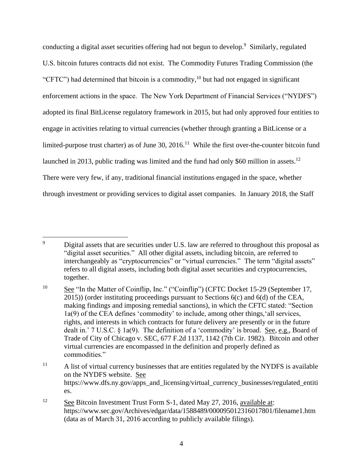conducting a digital asset securities offering had not begun to develop.<sup>9</sup> Similarly, regulated U.S. bitcoin futures contracts did not exist. The Commodity Futures Trading Commission (the "CFTC") had determined that bitcoin is a commodity,<sup>10</sup> but had not engaged in significant enforcement actions in the space. The New York Department of Financial Services ("NYDFS") adopted its final BitLicense regulatory framework in 2015, but had only approved four entities to engage in activities relating to virtual currencies (whether through granting a BitLicense or a limited-purpose trust charter) as of June 30, 2016.<sup>11</sup> While the first over-the-counter bitcoin fund launched in 2013, public trading was limited and the fund had only \$60 million in assets.<sup>12</sup> There were very few, if any, traditional financial institutions engaged in the space, whether through investment or providing services to digital asset companies. In January 2018, the Staff

 $\overline{9}$ Digital assets that are securities under U.S. law are referred to throughout this proposal as "digital asset securities." All other digital assets, including bitcoin, are referred to interchangeably as "cryptocurrencies" or "virtual currencies." The term "digital assets" refers to all digital assets, including both digital asset securities and cryptocurrencies, together.

<sup>&</sup>lt;sup>10</sup> See "In the Matter of Coinflip, Inc." ("Coinflip") (CFTC Docket 15-29 (September 17, 2015)) (order instituting proceedings pursuant to Sections 6(c) and 6(d) of the CEA, making findings and imposing remedial sanctions), in which the CFTC stated: "Section 1a(9) of the CEA defines 'commodity' to include, among other things,'all services, rights, and interests in which contracts for future delivery are presently or in the future dealt in.' 7 U.S.C. § 1a(9). The definition of a 'commodity' is broad. See, e.g., Board of Trade of City of Chicago v. SEC, 677 F.2d 1137, 1142 (7th Cir. 1982). Bitcoin and other virtual currencies are encompassed in the definition and properly defined as commodities."

 $11$  A list of virtual currency businesses that are entities regulated by the NYDFS is available on the NYDFS website. See https://www.dfs.ny.gov/apps\_and\_licensing/virtual\_currency\_businesses/regulated\_entiti es.

<sup>&</sup>lt;sup>12</sup> See Bitcoin Investment Trust Form S-1, dated May 27, 2016, available at: https://www.sec.gov/Archives/edgar/data/1588489/000095012316017801/filename1.htm (data as of March 31, 2016 according to publicly available filings).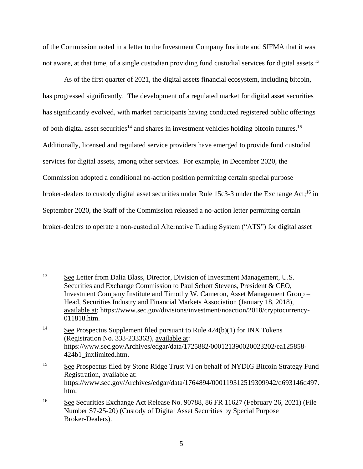of the Commission noted in a letter to the Investment Company Institute and SIFMA that it was not aware, at that time, of a single custodian providing fund custodial services for digital assets.<sup>13</sup>

As of the first quarter of 2021, the digital assets financial ecosystem, including bitcoin, has progressed significantly. The development of a regulated market for digital asset securities has significantly evolved, with market participants having conducted registered public offerings of both digital asset securities<sup>14</sup> and shares in investment vehicles holding bitcoin futures.<sup>15</sup> Additionally, licensed and regulated service providers have emerged to provide fund custodial services for digital assets, among other services. For example, in December 2020, the Commission adopted a conditional no-action position permitting certain special purpose broker-dealers to custody digital asset securities under Rule 15c3-3 under the Exchange Act;<sup>16</sup> in September 2020, the Staff of the Commission released a no-action letter permitting certain broker-dealers to operate a non-custodial Alternative Trading System ("ATS") for digital asset

 $\overline{a}$ <sup>13</sup> See Letter from Dalia Blass, Director, Division of Investment Management, U.S. Securities and Exchange Commission to Paul Schott Stevens, President & CEO, Investment Company Institute and Timothy W. Cameron, Asset Management Group – Head, Securities Industry and Financial Markets Association (January 18, 2018), available at: https://www.sec.gov/divisions/investment/noaction/2018/cryptocurrency-011818.htm.

<sup>&</sup>lt;sup>14</sup> See Prospectus Supplement filed pursuant to Rule  $424(b)(1)$  for INX Tokens (Registration No. 333-233363), available at: https://www.sec.gov/Archives/edgar/data/1725882/000121390020023202/ea125858- 424b1\_inxlimited.htm.

<sup>&</sup>lt;sup>15</sup> See Prospectus filed by Stone Ridge Trust VI on behalf of NYDIG Bitcoin Strategy Fund Registration, available at: https://www.sec.gov/Archives/edgar/data/1764894/000119312519309942/d693146d497. htm.

<sup>16</sup> See Securities Exchange Act Release No. 90788, 86 FR 11627 (February 26, 2021) (File Number S7-25-20) (Custody of Digital Asset Securities by Special Purpose Broker-Dealers).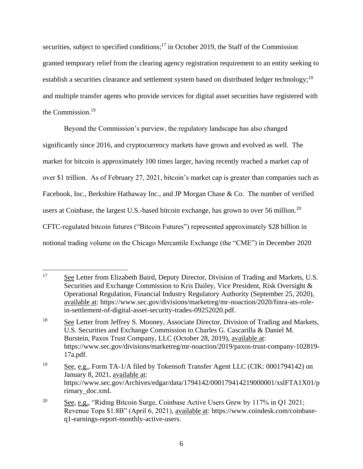securities, subject to specified conditions;<sup>17</sup> in October 2019, the Staff of the Commission granted temporary relief from the clearing agency registration requirement to an entity seeking to establish a securities clearance and settlement system based on distributed ledger technology;<sup>18</sup> and multiple transfer agents who provide services for digital asset securities have registered with the Commission.<sup>19</sup>

Beyond the Commission's purview, the regulatory landscape has also changed significantly since 2016, and cryptocurrency markets have grown and evolved as well. The market for bitcoin is approximately 100 times larger, having recently reached a market cap of over \$1 trillion. As of February 27, 2021, bitcoin's market cap is greater than companies such as Facebook, Inc., Berkshire Hathaway Inc., and JP Morgan Chase & Co. The number of verified users at Coinbase, the largest U.S.-based bitcoin exchange, has grown to over 56 million.<sup>20</sup> CFTC-regulated bitcoin futures ("Bitcoin Futures") represented approximately \$28 billion in notional trading volume on the Chicago Mercantile Exchange (the "CME") in December 2020

 $\overline{a}$ <sup>17</sup> See Letter from Elizabeth Baird, Deputy Director, Division of Trading and Markets, U.S. Securities and Exchange Commission to Kris Dailey, Vice President, Risk Oversight & Operational Regulation, Financial Industry Regulatory Authority (September 25, 2020), available at: https://www.sec.gov/divisions/marketreg/mr-noaction/2020/finra-ats-rolein-settlement-of-digital-asset-security-trades-09252020.pdf.

<sup>&</sup>lt;sup>18</sup> See Letter from Jeffrey S. Mooney, Associate Director, Division of Trading and Markets, U.S. Securities and Exchange Commission to Charles G. Cascarilla & Daniel M. Burstein, Paxos Trust Company, LLC (October 28, 2019), available at: https://www.sec.gov/divisions/marketreg/mr-noaction/2019/paxos-trust-company-102819- 17a.pdf.

<sup>&</sup>lt;sup>19</sup> See, e.g., Form TA-1/A filed by Tokensoft Transfer Agent LLC (CIK: 0001794142) on January 8, 2021, available at: https://www.sec.gov/Archives/edgar/data/1794142/000179414219000001/xslFTA1X01/p rimary\_doc.xml.

<sup>&</sup>lt;sup>20</sup> See, e.g., "Riding Bitcoin Surge, Coinbase Active Users Grew by 117% in Q1 2021; Revenue Tops \$1.8B" (April 6, 2021), available at: https://www.coindesk.com/coinbaseq1-earnings-report-monthly-active-users.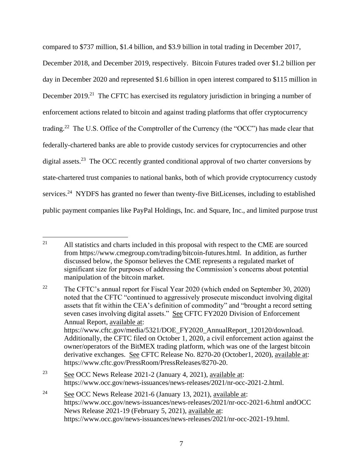compared to \$737 million, \$1.4 billion, and \$3.9 billion in total trading in December 2017, December 2018, and December 2019, respectively. Bitcoin Futures traded over \$1.2 billion per day in December 2020 and represented \$1.6 billion in open interest compared to \$115 million in December 2019.<sup>21</sup> The CFTC has exercised its regulatory jurisdiction in bringing a number of enforcement actions related to bitcoin and against trading platforms that offer cryptocurrency trading.<sup>22</sup> The U.S. Office of the Comptroller of the Currency (the "OCC") has made clear that federally-chartered banks are able to provide custody services for cryptocurrencies and other digital assets.<sup>23</sup> The OCC recently granted conditional approval of two charter conversions by state-chartered trust companies to national banks, both of which provide cryptocurrency custody services.<sup>24</sup> NYDFS has granted no fewer than twenty-five BitLicenses, including to established public payment companies like PayPal Holdings, Inc. and Square, Inc., and limited purpose trust

<sup>24</sup> See OCC News Release 2021-6 (January 13, 2021), available at: https://www.occ.gov/news-issuances/news-releases/2021/nr-occ-2021-6.html andOCC News Release 2021-19 (February 5, 2021), available at: https://www.occ.gov/news-issuances/news-releases/2021/nr-occ-2021-19.html.

 $21$ <sup>21</sup> All statistics and charts included in this proposal with respect to the CME are sourced from https://www.cmegroup.com/trading/bitcoin-futures.html. In addition, as further discussed below, the Sponsor believes the CME represents a regulated market of significant size for purposes of addressing the Commission's concerns about potential manipulation of the bitcoin market.

<sup>&</sup>lt;sup>22</sup> The CFTC's annual report for Fiscal Year 2020 (which ended on September 30, 2020) noted that the CFTC "continued to aggressively prosecute misconduct involving digital assets that fit within the CEA's definition of commodity" and "brought a record setting seven cases involving digital assets." See CFTC FY2020 Division of Enforcement Annual Report, available at: https://www.cftc.gov/media/5321/DOE\_FY2020\_AnnualReport\_120120/download. Additionally, the CFTC filed on October 1, 2020, a civil enforcement action against the owner/operators of the BitMEX trading platform, which was one of the largest bitcoin derivative exchanges. See CFTC Release No. 8270-20 (October1, 2020), available at: https://www.cftc.gov/PressRoom/PressReleases/8270-20.

<sup>&</sup>lt;sup>23</sup> See OCC News Release 2021-2 (January 4, 2021), available at: https://www.occ.gov/news-issuances/news-releases/2021/nr-occ-2021-2.html.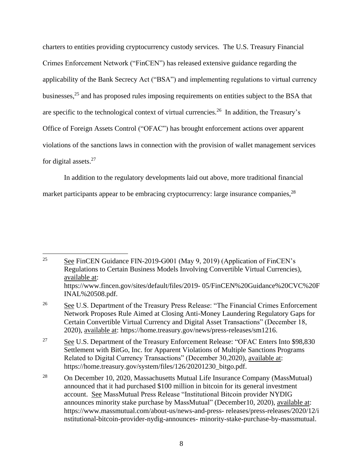charters to entities providing cryptocurrency custody services. The U.S. Treasury Financial Crimes Enforcement Network ("FinCEN") has released extensive guidance regarding the applicability of the Bank Secrecy Act ("BSA") and implementing regulations to virtual currency businesses,<sup>25</sup> and has proposed rules imposing requirements on entities subject to the BSA that are specific to the technological context of virtual currencies.<sup>26</sup> In addition, the Treasury's Office of Foreign Assets Control ("OFAC") has brought enforcement actions over apparent violations of the sanctions laws in connection with the provision of wallet management services for digital assets.<sup>27</sup>

In addition to the regulatory developments laid out above, more traditional financial market participants appear to be embracing cryptocurrency: large insurance companies,  $^{28}$ 

 $25$ <sup>25</sup> See FinCEN Guidance FIN-2019-G001 (May 9, 2019) (Application of FinCEN's Regulations to Certain Business Models Involving Convertible Virtual Currencies), available at: https://www.fincen.gov/sites/default/files/2019- 05/FinCEN%20Guidance%20CVC%20F INAL%20508.pdf.

<sup>26</sup> See U.S. Department of the Treasury Press Release: "The Financial Crimes Enforcement Network Proposes Rule Aimed at Closing Anti-Money Laundering Regulatory Gaps for Certain Convertible Virtual Currency and Digital Asset Transactions" (December 18, 2020), available at: https://home.treasury.gov/news/press-releases/sm1216.

 $\frac{27}{27}$  See U.S. Department of the Treasury Enforcement Release: "OFAC Enters Into \$98,830 Settlement with BitGo, Inc. for Apparent Violations of Multiple Sanctions Programs Related to Digital Currency Transactions" (December 30,2020), available at: https://home.treasury.gov/system/files/126/20201230\_bitgo.pdf.

<sup>28</sup> On December 10, 2020, Massachusetts Mutual Life Insurance Company (MassMutual) announced that it had purchased \$100 million in bitcoin for its general investment account. See MassMutual Press Release "Institutional Bitcoin provider NYDIG announces minority stake purchase by MassMutual" (December10, 2020), available at: https://www.massmutual.com/about-us/news-and-press- releases/press-releases/2020/12/i nstitutional-bitcoin-provider-nydig-announces- minority-stake-purchase-by-massmutual.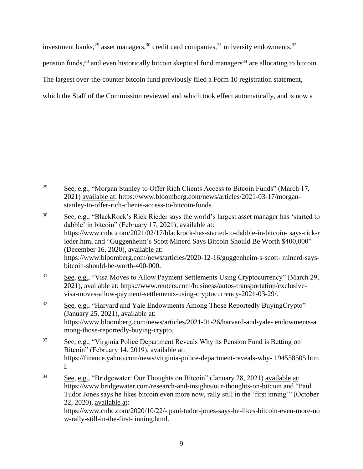investment banks, $^{29}$  asset managers, $^{30}$  credit card companies, $^{31}$  university endowments, $^{32}$ 

pension funds,  $33$  and even historically bitcoin skeptical fund managers  $34$  are allocating to bitcoin.

The largest over-the-counter bitcoin fund previously filed a Form 10 registration statement,

which the Staff of the Commission reviewed and which took effect automatically, and is now a

<sup>29</sup> See, e.g., "Morgan Stanley to Offer Rich Clients Access to Bitcoin Funds" (March 17, 2021) available at: https://www.bloomberg.com/news/articles/2021-03-17/morganstanley-to-offer-rich-clients-access-to-bitcoin-funds.

<sup>&</sup>lt;sup>30</sup> See, e.g., "BlackRock's Rick Rieder says the world's largest asset manager has 'started to dabble' in bitcoin" (February 17, 2021), available at: https://www.cnbc.com/2021/02/17/blackrock-has-started-to-dabble-in-bitcoin- says-rick-r ieder.html and "Guggenheim's Scott Minerd Says Bitcoin Should Be Worth \$400,000" (December 16, 2020), available at: https://www.bloomberg.com/news/articles/2020-12-16/guggenheim-s-scott- minerd-saysbitcoin-should-be-worth-400-000.

 $31$  See, e.g., "Visa Moves to Allow Payment Settlements Using Cryptocurrency" (March 29, 2021), available at: https://www.reuters.com/business/autos-transportation/exclusivevisa-moves-allow-payment-settlements-using-cryptocurrency-2021-03-29/.

<sup>&</sup>lt;sup>32</sup> See, e.g., "Harvard and Yale Endowments Among Those Reportedly BuyingCrypto" (January 25, 2021), available at: https://www.bloomberg.com/news/articles/2021-01-26/harvard-and-yale- endowments-a mong-those-reportedly-buying-crypto.

<sup>&</sup>lt;sup>33</sup> See, e.g., "Virginia Police Department Reveals Why its Pension Fund is Betting on Bitcoin" (February 14, 2019), available at: https://finance.yahoo.com/news/virginia-police-department-reveals-why- 194558505.htm l.

<sup>34</sup> See, e.g., "Bridgewater: Our Thoughts on Bitcoin" (January 28, 2021) available at: https://www.bridgewater.com/research-and-insights/our-thoughts-on-bitcoin and "Paul Tudor Jones says he likes bitcoin even more now, rally still in the 'first inning'" (October 22, 2020), available at: https://www.cnbc.com/2020/10/22/- paul-tudor-jones-says-he-likes-bitcoin-even-more-no w-rally-still-in-the-first- inning.html.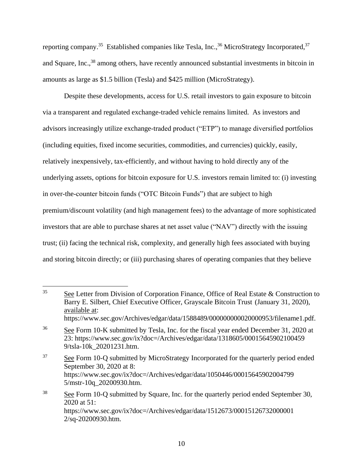reporting company.<sup>35</sup> Established companies like Tesla, Inc.,<sup>36</sup> MicroStrategy Incorporated,<sup>37</sup> and Square, Inc.,<sup>38</sup> among others, have recently announced substantial investments in bitcoin in amounts as large as \$1.5 billion (Tesla) and \$425 million (MicroStrategy).

Despite these developments, access for U.S. retail investors to gain exposure to bitcoin via a transparent and regulated exchange-traded vehicle remains limited. As investors and advisors increasingly utilize exchange-traded product ("ETP") to manage diversified portfolios (including equities, fixed income securities, commodities, and currencies) quickly, easily, relatively inexpensively, tax-efficiently, and without having to hold directly any of the underlying assets, options for bitcoin exposure for U.S. investors remain limited to: (i) investing in over-the-counter bitcoin funds ("OTC Bitcoin Funds") that are subject to high premium/discount volatility (and high management fees) to the advantage of more sophisticated investors that are able to purchase shares at net asset value ("NAV") directly with the issuing trust; (ii) facing the technical risk, complexity, and generally high fees associated with buying and storing bitcoin directly; or (iii) purchasing shares of operating companies that they believe

<sup>&</sup>lt;sup>35</sup> See Letter from Division of Corporation Finance, Office of Real Estate  $\&$  Construction to Barry E. Silbert, Chief Executive Officer, Grayscale Bitcoin Trust (January 31, 2020), available at: https://www.sec.gov/Archives/edgar/data/1588489/000000000020000953/filename1.pdf.

<sup>&</sup>lt;sup>36</sup> See Form 10-K submitted by Tesla, Inc. for the fiscal year ended December 31, 2020 at 23: https://www.sec.gov/ix?doc=/Archives/edgar/data/1318605/00015645902100459 9/tsla-10k\_20201231.htm.

<sup>&</sup>lt;sup>37</sup> See Form 10-Q submitted by MicroStrategy Incorporated for the quarterly period ended September 30, 2020 at 8: https://www.sec.gov/ix?doc=/Archives/edgar/data/1050446/00015645902004799 5/mstr-10q\_20200930.htm.

<sup>&</sup>lt;sup>38</sup> See Form 10-Q submitted by Square, Inc. for the quarterly period ended September 30, 2020 at 51: https://www.sec.gov/ix?doc=/Archives/edgar/data/1512673/00015126732000001 2/sq-20200930.htm.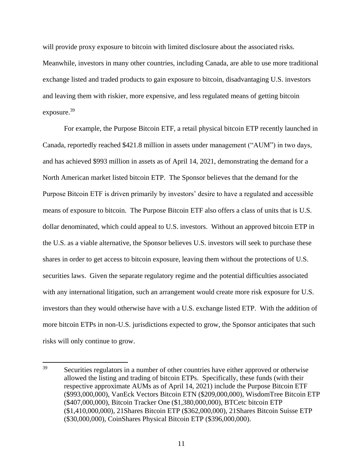will provide proxy exposure to bitcoin with limited disclosure about the associated risks. Meanwhile, investors in many other countries, including Canada, are able to use more traditional exchange listed and traded products to gain exposure to bitcoin, disadvantaging U.S. investors and leaving them with riskier, more expensive, and less regulated means of getting bitcoin exposure.<sup>39</sup>

For example, the Purpose Bitcoin ETF, a retail physical bitcoin ETP recently launched in Canada, reportedly reached \$421.8 million in assets under management ("AUM") in two days, and has achieved \$993 million in assets as of April 14, 2021, demonstrating the demand for a North American market listed bitcoin ETP. The Sponsor believes that the demand for the Purpose Bitcoin ETF is driven primarily by investors' desire to have a regulated and accessible means of exposure to bitcoin. The Purpose Bitcoin ETF also offers a class of units that is U.S. dollar denominated, which could appeal to U.S. investors. Without an approved bitcoin ETP in the U.S. as a viable alternative, the Sponsor believes U.S. investors will seek to purchase these shares in order to get access to bitcoin exposure, leaving them without the protections of U.S. securities laws. Given the separate regulatory regime and the potential difficulties associated with any international litigation, such an arrangement would create more risk exposure for U.S. investors than they would otherwise have with a U.S. exchange listed ETP. With the addition of more bitcoin ETPs in non-U.S. jurisdictions expected to grow, the Sponsor anticipates that such risks will only continue to grow.

<sup>39</sup> Securities regulators in a number of other countries have either approved or otherwise allowed the listing and trading of bitcoin ETPs. Specifically, these funds (with their respective approximate AUMs as of April 14, 2021) include the Purpose Bitcoin ETF (\$993,000,000), VanEck Vectors Bitcoin ETN (\$209,000,000), WisdomTree Bitcoin ETP (\$407,000,000), Bitcoin Tracker One (\$1,380,000,000), BTCetc bitcoin ETP (\$1,410,000,000), 21Shares Bitcoin ETP (\$362,000,000), 21Shares Bitcoin Suisse ETP (\$30,000,000), CoinShares Physical Bitcoin ETP (\$396,000,000).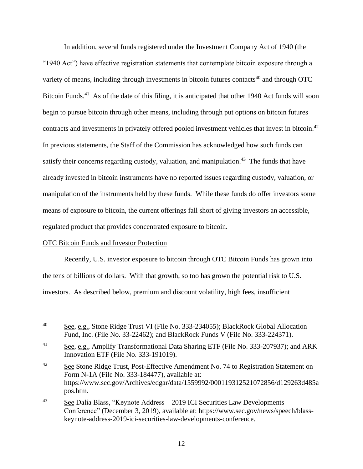In addition, several funds registered under the Investment Company Act of 1940 (the "1940 Act") have effective registration statements that contemplate bitcoin exposure through a variety of means, including through investments in bitcoin futures contacts<sup>40</sup> and through OTC Bitcoin Funds.<sup>41</sup> As of the date of this filing, it is anticipated that other 1940 Act funds will soon begin to pursue bitcoin through other means, including through put options on bitcoin futures contracts and investments in privately offered pooled investment vehicles that invest in bitcoin.<sup>42</sup> In previous statements, the Staff of the Commission has acknowledged how such funds can satisfy their concerns regarding custody, valuation, and manipulation.<sup>43</sup> The funds that have already invested in bitcoin instruments have no reported issues regarding custody, valuation, or manipulation of the instruments held by these funds. While these funds do offer investors some means of exposure to bitcoin, the current offerings fall short of giving investors an accessible, regulated product that provides concentrated exposure to bitcoin.

## OTC Bitcoin Funds and Investor Protection

Recently, U.S. investor exposure to bitcoin through OTC Bitcoin Funds has grown into the tens of billions of dollars. With that growth, so too has grown the potential risk to U.S. investors. As described below, premium and discount volatility, high fees, insufficient

 $40<sup>°</sup>$ See, e.g., Stone Ridge Trust VI (File No. 333-234055); BlackRock Global Allocation Fund, Inc. (File No. 33-22462); and BlackRock Funds V (File No. 333-224371).

<sup>&</sup>lt;sup>41</sup> See, e.g., Amplify Transformational Data Sharing ETF (File No. 333-207937); and ARK Innovation ETF (File No. 333-191019).

<sup>&</sup>lt;sup>42</sup> See Stone Ridge Trust, Post-Effective Amendment No. 74 to Registration Statement on Form N-1A (File No. 333-184477), available at: https://www.sec.gov/Archives/edgar/data/1559992/000119312521072856/d129263d485a pos.htm.

<sup>&</sup>lt;sup>43</sup> See Dalia Blass, "Keynote Address—2019 ICI Securities Law Developments Conference" (December 3, 2019), available at: https://www.sec.gov/news/speech/blasskeynote-address-2019-ici-securities-law-developments-conference.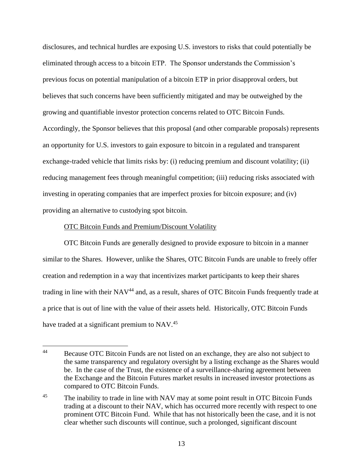disclosures, and technical hurdles are exposing U.S. investors to risks that could potentially be eliminated through access to a bitcoin ETP. The Sponsor understands the Commission's previous focus on potential manipulation of a bitcoin ETP in prior disapproval orders, but believes that such concerns have been sufficiently mitigated and may be outweighed by the growing and quantifiable investor protection concerns related to OTC Bitcoin Funds. Accordingly, the Sponsor believes that this proposal (and other comparable proposals) represents an opportunity for U.S. investors to gain exposure to bitcoin in a regulated and transparent exchange-traded vehicle that limits risks by: (i) reducing premium and discount volatility; (ii) reducing management fees through meaningful competition; (iii) reducing risks associated with investing in operating companies that are imperfect proxies for bitcoin exposure; and (iv) providing an alternative to custodying spot bitcoin.

## OTC Bitcoin Funds and Premium/Discount Volatility

OTC Bitcoin Funds are generally designed to provide exposure to bitcoin in a manner similar to the Shares. However, unlike the Shares, OTC Bitcoin Funds are unable to freely offer creation and redemption in a way that incentivizes market participants to keep their shares trading in line with their NAV<sup>44</sup> and, as a result, shares of OTC Bitcoin Funds frequently trade at a price that is out of line with the value of their assets held. Historically, OTC Bitcoin Funds have traded at a significant premium to NAV.<sup>45</sup>

<sup>44</sup> Because OTC Bitcoin Funds are not listed on an exchange, they are also not subject to the same transparency and regulatory oversight by a listing exchange as the Shares would be. In the case of the Trust, the existence of a surveillance-sharing agreement between the Exchange and the Bitcoin Futures market results in increased investor protections as compared to OTC Bitcoin Funds.

<sup>&</sup>lt;sup>45</sup> The inability to trade in line with NAV may at some point result in OTC Bitcoin Funds trading at a discount to their NAV, which has occurred more recently with respect to one prominent OTC Bitcoin Fund. While that has not historically been the case, and it is not clear whether such discounts will continue, such a prolonged, significant discount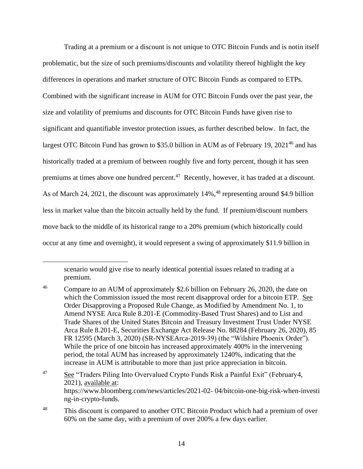Trading at a premium or a discount is not unique to OTC Bitcoin Funds and is notin itself problematic, but the size of such premiums/discounts and volatility thereof highlight the key differences in operations and market structure of OTC Bitcoin Funds as compared to ETPs. Combined with the significant increase in AUM for OTC Bitcoin Funds over the past year, the size and volatility of premiums and discounts for OTC Bitcoin Funds have given rise to significant and quantifiable investor protection issues, as further described below. In fact, the largest OTC Bitcoin Fund has grown to \$35.0 billion in AUM as of February 19,  $2021^{46}$  and has historically traded at a premium of between roughly five and forty percent, though it has seen premiums at times above one hundred percent.<sup>47</sup> Recently, however, it has traded at a discount. As of March 24, 2021, the discount was approximately 14%, <sup>48</sup> representing around \$4.9 billion less in market value than the bitcoin actually held by the fund. If premium/discount numbers move back to the middle of its historical range to a 20% premium (which historically could occur at any time and overnight), it would represent a swing of approximately \$11.9 billion in

scenario would give rise to nearly identical potential issues related to trading at a premium.

<sup>&</sup>lt;sup>46</sup> Compare to an AUM of approximately \$2.6 billion on February 26, 2020, the date on which the Commission issued the most recent disapproval order for a bitcoin ETP. See Order Disapproving a Proposed Rule Change, as Modified by Amendment No. 1, to Amend NYSE Arca Rule 8.201-E (Commodity-Based Trust Shares) and to List and Trade Shares of the United States Bitcoin and Treasury Investment Trust Under NYSE Arca Rule 8.201-E, Securities Exchange Act Release No. 88284 (February 26, 2020), 85 FR 12595 (March 3, 2020) (SR-NYSEArca-2019-39) (the "Wilshire Phoenix Order"). While the price of one bitcoin has increased approximately 400% in the intervening period, the total AUM has increased by approximately 1240%, indicating that the increase in AUM is attributable to more than just price appreciation in bitcoin.

<sup>47</sup> See "Traders Piling Into Overvalued Crypto Funds Risk a Painful Exit" (February4, 2021), available at: https://www.bloomberg.com/news/articles/2021-02- 04/bitcoin-one-big-risk-when-investi ng-in-crypto-funds.

<sup>&</sup>lt;sup>48</sup> This discount is compared to another OTC Bitcoin Product which had a premium of over 60% on the same day, with a premium of over 200% a few days earlier.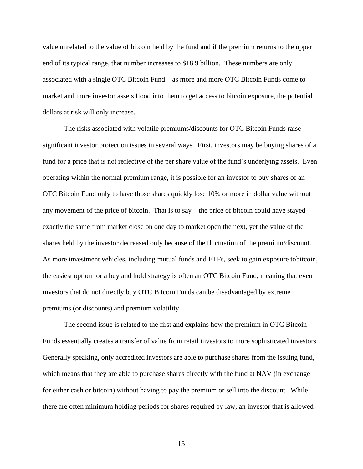value unrelated to the value of bitcoin held by the fund and if the premium returns to the upper end of its typical range, that number increases to \$18.9 billion. These numbers are only associated with a single OTC Bitcoin Fund – as more and more OTC Bitcoin Funds come to market and more investor assets flood into them to get access to bitcoin exposure, the potential dollars at risk will only increase.

The risks associated with volatile premiums/discounts for OTC Bitcoin Funds raise significant investor protection issues in several ways. First, investors may be buying shares of a fund for a price that is not reflective of the per share value of the fund's underlying assets. Even operating within the normal premium range, it is possible for an investor to buy shares of an OTC Bitcoin Fund only to have those shares quickly lose 10% or more in dollar value without any movement of the price of bitcoin. That is to say – the price of bitcoin could have stayed exactly the same from market close on one day to market open the next, yet the value of the shares held by the investor decreased only because of the fluctuation of the premium/discount. As more investment vehicles, including mutual funds and ETFs, seek to gain exposure tobitcoin, the easiest option for a buy and hold strategy is often an OTC Bitcoin Fund, meaning that even investors that do not directly buy OTC Bitcoin Funds can be disadvantaged by extreme premiums (or discounts) and premium volatility.

The second issue is related to the first and explains how the premium in OTC Bitcoin Funds essentially creates a transfer of value from retail investors to more sophisticated investors. Generally speaking, only accredited investors are able to purchase shares from the issuing fund, which means that they are able to purchase shares directly with the fund at NAV (in exchange for either cash or bitcoin) without having to pay the premium or sell into the discount. While there are often minimum holding periods for shares required by law, an investor that is allowed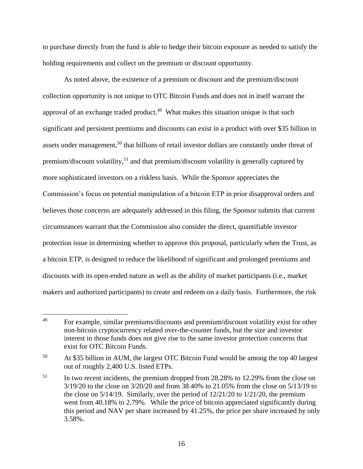to purchase directly from the fund is able to hedge their bitcoin exposure as needed to satisfy the holding requirements and collect on the premium or discount opportunity.

As noted above, the existence of a premium or discount and the premium/discount collection opportunity is not unique to OTC Bitcoin Funds and does not in itself warrant the approval of an exchange traded product.<sup>49</sup> What makes this situation unique is that such significant and persistent premiums and discounts can exist in a product with over \$35 billion in assets under management,<sup>50</sup> that billions of retail investor dollars are constantly under threat of premium/discount volatility,<sup>51</sup> and that premium/discount volatility is generally captured by more sophisticated investors on a riskless basis. While the Sponsor appreciates the Commission's focus on potential manipulation of a bitcoin ETP in prior disapproval orders and believes those concerns are adequately addressed in this filing, the Sponsor submits that current circumstances warrant that the Commission also consider the direct, quantifiable investor protection issue in determining whether to approve this proposal, particularly when the Trust, as a bitcoin ETP, is designed to reduce the likelihood of significant and prolonged premiums and discounts with its open-ended nature as well as the ability of market participants (i.e., market makers and authorized participants) to create and redeem on a daily basis. Furthermore, the risk

<sup>49</sup> For example, similar premiums/discounts and premium/discount volatility exist for other non-bitcoin cryptocurrency related over-the-counter funds, but the size and investor interest in those funds does not give rise to the same investor protection concerns that exist for OTC Bitcoin Funds.

<sup>&</sup>lt;sup>50</sup> At \$35 billion in AUM, the largest OTC Bitcoin Fund would be among the top 40 largest out of roughly 2,400 U.S. listed ETPs.

<sup>&</sup>lt;sup>51</sup> In two recent incidents, the premium dropped from 28.28% to 12.29% from the close on 3/19/20 to the close on 3/20/20 and from 38.40% to 21.05% from the close on 5/13/19 to the close on 5/14/19. Similarly, over the period of 12/21/20 to 1/21/20, the premium went from 40.18% to 2.79%. While the price of bitcoin appreciated significantly during this period and NAV per share increased by 41.25%, the price per share increased by only 3.58%.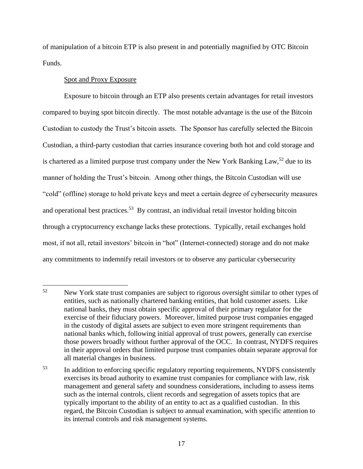of manipulation of a bitcoin ETP is also present in and potentially magnified by OTC Bitcoin Funds.

## Spot and Proxy Exposure

Exposure to bitcoin through an ETP also presents certain advantages for retail investors compared to buying spot bitcoin directly. The most notable advantage is the use of the Bitcoin Custodian to custody the Trust's bitcoin assets. The Sponsor has carefully selected the Bitcoin Custodian, a third-party custodian that carries insurance covering both hot and cold storage and is chartered as a limited purpose trust company under the New York Banking Law,<sup>52</sup> due to its manner of holding the Trust's bitcoin. Among other things, the Bitcoin Custodian will use "cold" (offline) storage to hold private keys and meet a certain degree of cybersecurity measures and operational best practices.<sup>53</sup> By contrast, an individual retail investor holding bitcoin through a cryptocurrency exchange lacks these protections. Typically, retail exchanges hold most, if not all, retail investors' bitcoin in "hot" (Internet-connected) storage and do not make any commitments to indemnify retail investors or to observe any particular cybersecurity

<sup>52</sup> New York state trust companies are subject to rigorous oversight similar to other types of entities, such as nationally chartered banking entities, that hold customer assets. Like national banks, they must obtain specific approval of their primary regulator for the exercise of their fiduciary powers. Moreover, limited purpose trust companies engaged in the custody of digital assets are subject to even more stringent requirements than national banks which, following initial approval of trust powers, generally can exercise those powers broadly without further approval of the OCC. In contrast, NYDFS requires in their approval orders that limited purpose trust companies obtain separate approval for all material changes in business.

<sup>&</sup>lt;sup>53</sup> In addition to enforcing specific regulatory reporting requirements, NYDFS consistently exercises its broad authority to examine trust companies for compliance with law, risk management and general safety and soundness considerations, including to assess items such as the internal controls, client records and segregation of assets topics that are typically important to the ability of an entity to act as a qualified custodian. In this regard, the Bitcoin Custodian is subject to annual examination, with specific attention to its internal controls and risk management systems.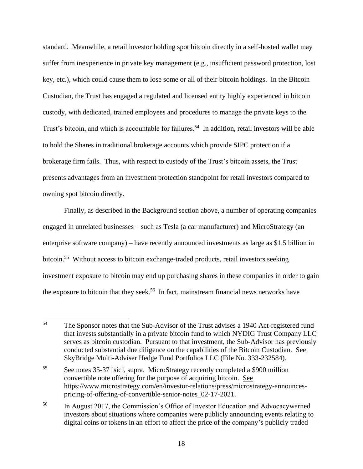standard. Meanwhile, a retail investor holding spot bitcoin directly in a self-hosted wallet may suffer from inexperience in private key management (e.g., insufficient password protection, lost key, etc.), which could cause them to lose some or all of their bitcoin holdings. In the Bitcoin Custodian, the Trust has engaged a regulated and licensed entity highly experienced in bitcoin custody, with dedicated, trained employees and procedures to manage the private keys to the Trust's bitcoin, and which is accountable for failures.<sup>54</sup> In addition, retail investors will be able to hold the Shares in traditional brokerage accounts which provide SIPC protection if a brokerage firm fails. Thus, with respect to custody of the Trust's bitcoin assets, the Trust presents advantages from an investment protection standpoint for retail investors compared to owning spot bitcoin directly.

Finally, as described in the Background section above, a number of operating companies engaged in unrelated businesses – such as Tesla (a car manufacturer) and MicroStrategy (an enterprise software company) – have recently announced investments as large as \$1.5 billion in bitcoin.<sup>55</sup> Without access to bitcoin exchange-traded products, retail investors seeking investment exposure to bitcoin may end up purchasing shares in these companies in order to gain the exposure to bitcoin that they seek.<sup>56</sup> In fact, mainstream financial news networks have

<sup>54</sup> The Sponsor notes that the Sub-Advisor of the Trust advises a 1940 Act-registered fund that invests substantially in a private bitcoin fund to which NYDIG Trust Company LLC serves as bitcoin custodian. Pursuant to that investment, the Sub-Advisor has previously conducted substantial due diligence on the capabilities of the Bitcoin Custodian. See SkyBridge Multi-Adviser Hedge Fund Portfolios LLC (File No. 333-232584).

<sup>55</sup> See notes 35-37 [sic], supra. MicroStrategy recently completed a \$900 million convertible note offering for the purpose of acquiring bitcoin. See https://www.microstrategy.com/en/investor-relations/press/microstrategy-announcespricing-of-offering-of-convertible-senior-notes\_02-17-2021.

<sup>56</sup> In August 2017, the Commission's Office of Investor Education and Advocacywarned investors about situations where companies were publicly announcing events relating to digital coins or tokens in an effort to affect the price of the company's publicly traded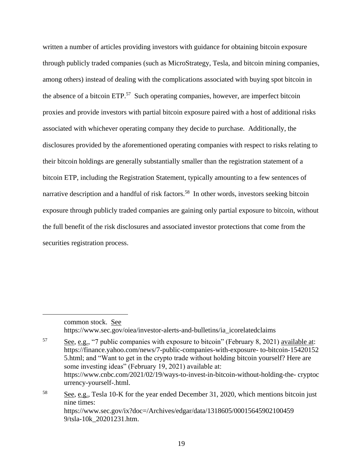written a number of articles providing investors with guidance for obtaining bitcoin exposure through publicly traded companies (such as MicroStrategy, Tesla, and bitcoin mining companies, among others) instead of dealing with the complications associated with buying spot bitcoin in the absence of a bitcoin ETP.<sup>57</sup> Such operating companies, however, are imperfect bitcoin proxies and provide investors with partial bitcoin exposure paired with a host of additional risks associated with whichever operating company they decide to purchase. Additionally, the disclosures provided by the aforementioned operating companies with respect to risks relating to their bitcoin holdings are generally substantially smaller than the registration statement of a bitcoin ETP, including the Registration Statement, typically amounting to a few sentences of narrative description and a handful of risk factors.<sup>58</sup> In other words, investors seeking bitcoin exposure through publicly traded companies are gaining only partial exposure to bitcoin, without the full benefit of the risk disclosures and associated investor protections that come from the securities registration process.

common stock. See https://www.sec.gov/oiea/investor-alerts-and-bulletins/ia\_icorelatedclaims

<sup>57</sup> See, e.g., "7 public companies with exposure to bitcoin" (February 8, 2021) available at: https://finance.yahoo.com/news/7-public-companies-with-exposure- to-bitcoin-15420152 5.html; and "Want to get in the crypto trade without holding bitcoin yourself? Here are some investing ideas" (February 19, 2021) available at: https://www.cnbc.com/2021/02/19/ways-to-invest-in-bitcoin-without-holding-the- cryptoc urrency-yourself-.html. <sup>58</sup> See, e.g., Tesla 10-K for the year ended December 31, 2020, which mentions bitcoin just

nine times: https://www.sec.gov/ix?doc=/Archives/edgar/data/1318605/00015645902100459 9/tsla-10k\_20201231.htm.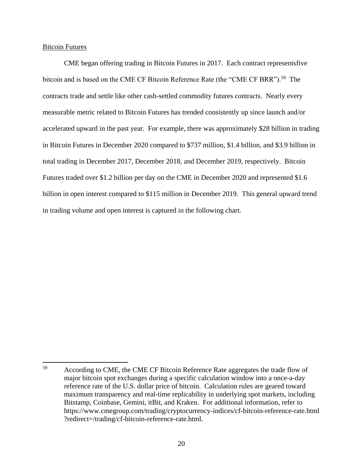Bitcoin Futures

CME began offering trading in Bitcoin Futures in 2017. Each contract representsfive bitcoin and is based on the CME CF Bitcoin Reference Rate (the "CME CF BRR").<sup>59</sup> The contracts trade and settle like other cash-settled commodity futures contracts. Nearly every measurable metric related to Bitcoin Futures has trended consistently up since launch and/or accelerated upward in the past year. For example, there was approximately \$28 billion in trading in Bitcoin Futures in December 2020 compared to \$737 million, \$1.4 billion, and \$3.9 billion in total trading in December 2017, December 2018, and December 2019, respectively. Bitcoin Futures traded over \$1.2 billion per day on the CME in December 2020 and represented \$1.6 billion in open interest compared to \$115 million in December 2019. This general upward trend in trading volume and open interest is captured in the following chart.

<sup>59</sup> <sup>59</sup> According to CME, the CME CF Bitcoin Reference Rate aggregates the trade flow of major bitcoin spot exchanges during a specific calculation window into a once-a-day reference rate of the U.S. dollar price of bitcoin. Calculation rules are geared toward maximum transparency and real-time replicability in underlying spot markets, including Bitstamp, Coinbase, Gemini, itBit, and Kraken. For additional information, refer to https://www.cmegroup.com/trading/cryptocurrency-indices/cf-bitcoin-reference-rate.html ?redirect=/trading/cf-bitcoin-reference-rate.html.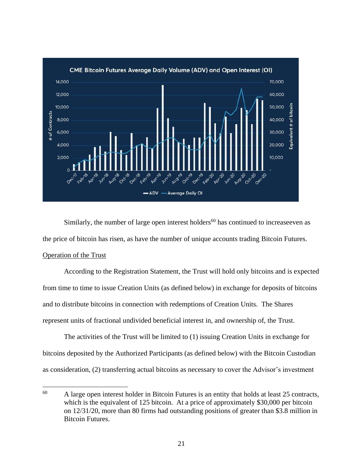

Similarly, the number of large open interest holders<sup>60</sup> has continued to increase even as the price of bitcoin has risen, as have the number of unique accounts trading Bitcoin Futures.

# Operation of the Trust

 $\overline{a}$ 

According to the Registration Statement, the Trust will hold only bitcoins and is expected from time to time to issue Creation Units (as defined below) in exchange for deposits of bitcoins and to distribute bitcoins in connection with redemptions of Creation Units. The Shares represent units of fractional undivided beneficial interest in, and ownership of, the Trust.

The activities of the Trust will be limited to (1) issuing Creation Units in exchange for bitcoins deposited by the Authorized Participants (as defined below) with the Bitcoin Custodian as consideration, (2) transferring actual bitcoins as necessary to cover the Advisor's investment

 $60$  A large open interest holder in Bitcoin Futures is an entity that holds at least 25 contracts, which is the equivalent of 125 bitcoin. At a price of approximately \$30,000 per bitcoin on 12/31/20, more than 80 firms had outstanding positions of greater than \$3.8 million in Bitcoin Futures.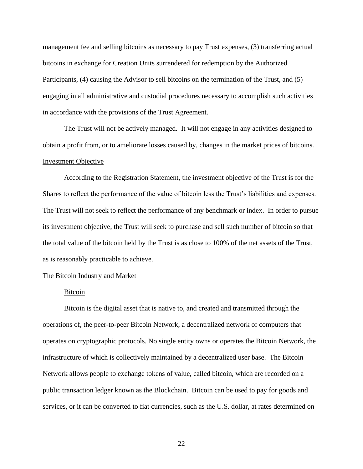management fee and selling bitcoins as necessary to pay Trust expenses, (3) transferring actual bitcoins in exchange for Creation Units surrendered for redemption by the Authorized Participants, (4) causing the Advisor to sell bitcoins on the termination of the Trust, and (5) engaging in all administrative and custodial procedures necessary to accomplish such activities in accordance with the provisions of the Trust Agreement.

The Trust will not be actively managed. It will not engage in any activities designed to obtain a profit from, or to ameliorate losses caused by, changes in the market prices of bitcoins. Investment Objective

According to the Registration Statement, the investment objective of the Trust is for the Shares to reflect the performance of the value of bitcoin less the Trust's liabilities and expenses. The Trust will not seek to reflect the performance of any benchmark or index. In order to pursue its investment objective, the Trust will seek to purchase and sell such number of bitcoin so that the total value of the bitcoin held by the Trust is as close to 100% of the net assets of the Trust, as is reasonably practicable to achieve.

#### The Bitcoin Industry and Market

## Bitcoin

Bitcoin is the digital asset that is native to, and created and transmitted through the operations of, the peer-to-peer Bitcoin Network, a decentralized network of computers that operates on cryptographic protocols. No single entity owns or operates the Bitcoin Network, the infrastructure of which is collectively maintained by a decentralized user base. The Bitcoin Network allows people to exchange tokens of value, called bitcoin, which are recorded on a public transaction ledger known as the Blockchain. Bitcoin can be used to pay for goods and services, or it can be converted to fiat currencies, such as the U.S. dollar, at rates determined on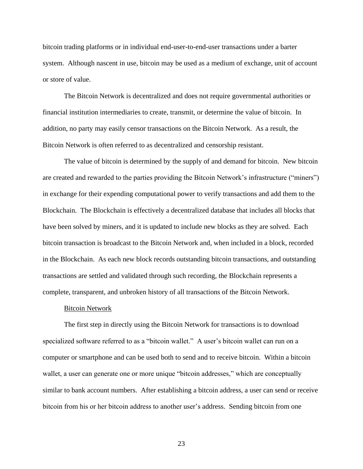bitcoin trading platforms or in individual end-user-to-end-user transactions under a barter system. Although nascent in use, bitcoin may be used as a medium of exchange, unit of account or store of value.

The Bitcoin Network is decentralized and does not require governmental authorities or financial institution intermediaries to create, transmit, or determine the value of bitcoin. In addition, no party may easily censor transactions on the Bitcoin Network. As a result, the Bitcoin Network is often referred to as decentralized and censorship resistant.

The value of bitcoin is determined by the supply of and demand for bitcoin. New bitcoin are created and rewarded to the parties providing the Bitcoin Network's infrastructure ("miners") in exchange for their expending computational power to verify transactions and add them to the Blockchain. The Blockchain is effectively a decentralized database that includes all blocks that have been solved by miners, and it is updated to include new blocks as they are solved. Each bitcoin transaction is broadcast to the Bitcoin Network and, when included in a block, recorded in the Blockchain. As each new block records outstanding bitcoin transactions, and outstanding transactions are settled and validated through such recording, the Blockchain represents a complete, transparent, and unbroken history of all transactions of the Bitcoin Network.

#### Bitcoin Network

The first step in directly using the Bitcoin Network for transactions is to download specialized software referred to as a "bitcoin wallet." A user's bitcoin wallet can run on a computer or smartphone and can be used both to send and to receive bitcoin. Within a bitcoin wallet, a user can generate one or more unique "bitcoin addresses," which are conceptually similar to bank account numbers. After establishing a bitcoin address, a user can send or receive bitcoin from his or her bitcoin address to another user's address. Sending bitcoin from one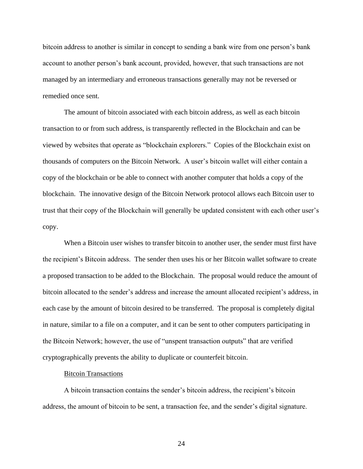bitcoin address to another is similar in concept to sending a bank wire from one person's bank account to another person's bank account, provided, however, that such transactions are not managed by an intermediary and erroneous transactions generally may not be reversed or remedied once sent.

The amount of bitcoin associated with each bitcoin address, as well as each bitcoin transaction to or from such address, is transparently reflected in the Blockchain and can be viewed by websites that operate as "blockchain explorers." Copies of the Blockchain exist on thousands of computers on the Bitcoin Network. A user's bitcoin wallet will either contain a copy of the blockchain or be able to connect with another computer that holds a copy of the blockchain. The innovative design of the Bitcoin Network protocol allows each Bitcoin user to trust that their copy of the Blockchain will generally be updated consistent with each other user's copy.

When a Bitcoin user wishes to transfer bitcoin to another user, the sender must first have the recipient's Bitcoin address. The sender then uses his or her Bitcoin wallet software to create a proposed transaction to be added to the Blockchain. The proposal would reduce the amount of bitcoin allocated to the sender's address and increase the amount allocated recipient's address, in each case by the amount of bitcoin desired to be transferred. The proposal is completely digital in nature, similar to a file on a computer, and it can be sent to other computers participating in the Bitcoin Network; however, the use of "unspent transaction outputs" that are verified cryptographically prevents the ability to duplicate or counterfeit bitcoin.

#### Bitcoin Transactions

A bitcoin transaction contains the sender's bitcoin address, the recipient's bitcoin address, the amount of bitcoin to be sent, a transaction fee, and the sender's digital signature.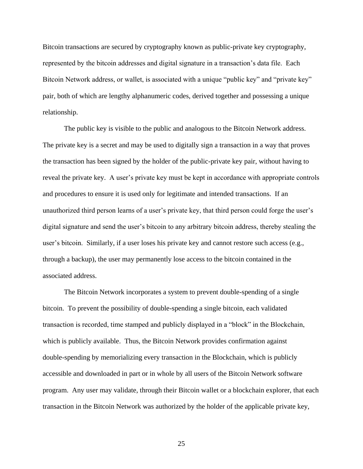Bitcoin transactions are secured by cryptography known as public-private key cryptography, represented by the bitcoin addresses and digital signature in a transaction's data file. Each Bitcoin Network address, or wallet, is associated with a unique "public key" and "private key" pair, both of which are lengthy alphanumeric codes, derived together and possessing a unique relationship.

The public key is visible to the public and analogous to the Bitcoin Network address. The private key is a secret and may be used to digitally sign a transaction in a way that proves the transaction has been signed by the holder of the public-private key pair, without having to reveal the private key. A user's private key must be kept in accordance with appropriate controls and procedures to ensure it is used only for legitimate and intended transactions. If an unauthorized third person learns of a user's private key, that third person could forge the user's digital signature and send the user's bitcoin to any arbitrary bitcoin address, thereby stealing the user's bitcoin. Similarly, if a user loses his private key and cannot restore such access (e.g., through a backup), the user may permanently lose access to the bitcoin contained in the associated address.

The Bitcoin Network incorporates a system to prevent double-spending of a single bitcoin. To prevent the possibility of double-spending a single bitcoin, each validated transaction is recorded, time stamped and publicly displayed in a "block" in the Blockchain, which is publicly available. Thus, the Bitcoin Network provides confirmation against double-spending by memorializing every transaction in the Blockchain, which is publicly accessible and downloaded in part or in whole by all users of the Bitcoin Network software program. Any user may validate, through their Bitcoin wallet or a blockchain explorer, that each transaction in the Bitcoin Network was authorized by the holder of the applicable private key,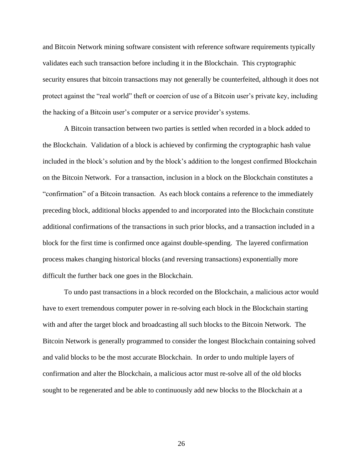and Bitcoin Network mining software consistent with reference software requirements typically validates each such transaction before including it in the Blockchain. This cryptographic security ensures that bitcoin transactions may not generally be counterfeited, although it does not protect against the "real world" theft or coercion of use of a Bitcoin user's private key, including the hacking of a Bitcoin user's computer or a service provider's systems.

A Bitcoin transaction between two parties is settled when recorded in a block added to the Blockchain. Validation of a block is achieved by confirming the cryptographic hash value included in the block's solution and by the block's addition to the longest confirmed Blockchain on the Bitcoin Network. For a transaction, inclusion in a block on the Blockchain constitutes a "confirmation" of a Bitcoin transaction. As each block contains a reference to the immediately preceding block, additional blocks appended to and incorporated into the Blockchain constitute additional confirmations of the transactions in such prior blocks, and a transaction included in a block for the first time is confirmed once against double-spending. The layered confirmation process makes changing historical blocks (and reversing transactions) exponentially more difficult the further back one goes in the Blockchain.

To undo past transactions in a block recorded on the Blockchain, a malicious actor would have to exert tremendous computer power in re-solving each block in the Blockchain starting with and after the target block and broadcasting all such blocks to the Bitcoin Network. The Bitcoin Network is generally programmed to consider the longest Blockchain containing solved and valid blocks to be the most accurate Blockchain. In order to undo multiple layers of confirmation and alter the Blockchain, a malicious actor must re-solve all of the old blocks sought to be regenerated and be able to continuously add new blocks to the Blockchain at a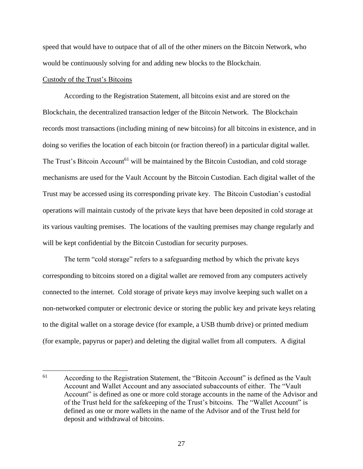speed that would have to outpace that of all of the other miners on the Bitcoin Network, who would be continuously solving for and adding new blocks to the Blockchain.

## Custody of the Trust's Bitcoins

According to the Registration Statement, all bitcoins exist and are stored on the Blockchain, the decentralized transaction ledger of the Bitcoin Network. The Blockchain records most transactions (including mining of new bitcoins) for all bitcoins in existence, and in doing so verifies the location of each bitcoin (or fraction thereof) in a particular digital wallet. The Trust's Bitcoin Account<sup>61</sup> will be maintained by the Bitcoin Custodian, and cold storage mechanisms are used for the Vault Account by the Bitcoin Custodian. Each digital wallet of the Trust may be accessed using its corresponding private key. The Bitcoin Custodian's custodial operations will maintain custody of the private keys that have been deposited in cold storage at its various vaulting premises. The locations of the vaulting premises may change regularly and will be kept confidential by the Bitcoin Custodian for security purposes.

The term "cold storage" refers to a safeguarding method by which the private keys corresponding to bitcoins stored on a digital wallet are removed from any computers actively connected to the internet. Cold storage of private keys may involve keeping such wallet on a non-networked computer or electronic device or storing the public key and private keys relating to the digital wallet on a storage device (for example, a USB thumb drive) or printed medium (for example, papyrus or paper) and deleting the digital wallet from all computers. A digital

 $\overline{a}$ <sup>61</sup> According to the Registration Statement, the "Bitcoin Account" is defined as the Vault Account and Wallet Account and any associated subaccounts of either. The "Vault Account" is defined as one or more cold storage accounts in the name of the Advisor and of the Trust held for the safekeeping of the Trust's bitcoins. The "Wallet Account" is defined as one or more wallets in the name of the Advisor and of the Trust held for deposit and withdrawal of bitcoins.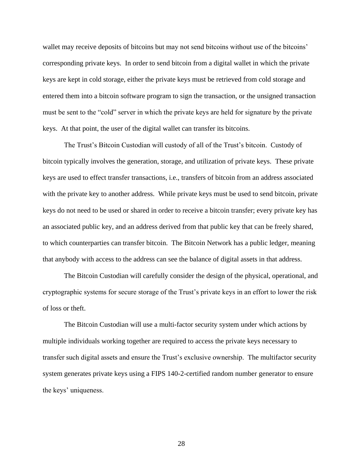wallet may receive deposits of bitcoins but may not send bitcoins without use of the bitcoins' corresponding private keys. In order to send bitcoin from a digital wallet in which the private keys are kept in cold storage, either the private keys must be retrieved from cold storage and entered them into a bitcoin software program to sign the transaction, or the unsigned transaction must be sent to the "cold" server in which the private keys are held for signature by the private keys. At that point, the user of the digital wallet can transfer its bitcoins.

The Trust's Bitcoin Custodian will custody of all of the Trust's bitcoin. Custody of bitcoin typically involves the generation, storage, and utilization of private keys. These private keys are used to effect transfer transactions, i.e., transfers of bitcoin from an address associated with the private key to another address. While private keys must be used to send bitcoin, private keys do not need to be used or shared in order to receive a bitcoin transfer; every private key has an associated public key, and an address derived from that public key that can be freely shared, to which counterparties can transfer bitcoin. The Bitcoin Network has a public ledger, meaning that anybody with access to the address can see the balance of digital assets in that address.

The Bitcoin Custodian will carefully consider the design of the physical, operational, and cryptographic systems for secure storage of the Trust's private keys in an effort to lower the risk of loss or theft.

The Bitcoin Custodian will use a multi-factor security system under which actions by multiple individuals working together are required to access the private keys necessary to transfer such digital assets and ensure the Trust's exclusive ownership. The multifactor security system generates private keys using a FIPS 140-2-certified random number generator to ensure the keys' uniqueness.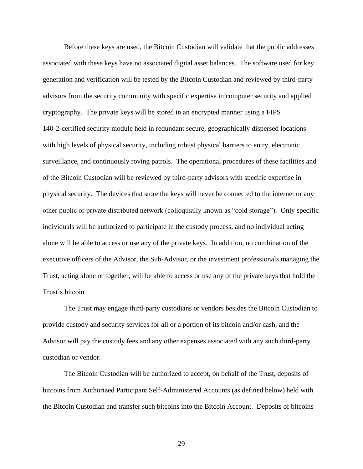Before these keys are used, the Bitcoin Custodian will validate that the public addresses associated with these keys have no associated digital asset balances. The software used for key generation and verification will be tested by the Bitcoin Custodian and reviewed by third-party advisors from the security community with specific expertise in computer security and applied cryptography. The private keys will be stored in an encrypted manner using a FIPS 140-2-certified security module held in redundant secure, geographically dispersed locations with high levels of physical security, including robust physical barriers to entry, electronic surveillance, and continuously roving patrols. The operational procedures of these facilities and of the Bitcoin Custodian will be reviewed by third-party advisors with specific expertise in physical security. The devices that store the keys will never be connected to the internet or any other public or private distributed network (colloquially known as "cold storage"). Only specific individuals will be authorized to participate in the custody process, and no individual acting alone will be able to access or use any of the private keys. In addition, no combination of the executive officers of the Advisor, the Sub-Advisor, or the investment professionals managing the Trust, acting alone or together, will be able to access or use any of the private keys that hold the Trust's bitcoin.

The Trust may engage third-party custodians or vendors besides the Bitcoin Custodian to provide custody and security services for all or a portion of its bitcoin and/or cash, and the Advisor will pay the custody fees and any other expenses associated with any such third-party custodian or vendor.

The Bitcoin Custodian will be authorized to accept, on behalf of the Trust, deposits of bitcoins from Authorized Participant Self-Administered Accounts (as defined below) held with the Bitcoin Custodian and transfer such bitcoins into the Bitcoin Account. Deposits of bitcoins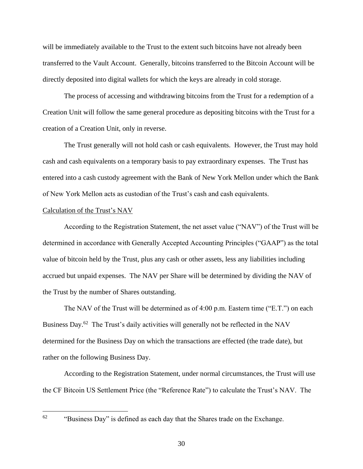will be immediately available to the Trust to the extent such bitcoins have not already been transferred to the Vault Account. Generally, bitcoins transferred to the Bitcoin Account will be directly deposited into digital wallets for which the keys are already in cold storage.

The process of accessing and withdrawing bitcoins from the Trust for a redemption of a Creation Unit will follow the same general procedure as depositing bitcoins with the Trust for a creation of a Creation Unit, only in reverse.

The Trust generally will not hold cash or cash equivalents. However, the Trust may hold cash and cash equivalents on a temporary basis to pay extraordinary expenses. The Trust has entered into a cash custody agreement with the Bank of New York Mellon under which the Bank of New York Mellon acts as custodian of the Trust's cash and cash equivalents.

#### Calculation of the Trust's NAV

According to the Registration Statement, the net asset value ("NAV") of the Trust will be determined in accordance with Generally Accepted Accounting Principles ("GAAP") as the total value of bitcoin held by the Trust, plus any cash or other assets, less any liabilities including accrued but unpaid expenses. The NAV per Share will be determined by dividing the NAV of the Trust by the number of Shares outstanding.

The NAV of the Trust will be determined as of 4:00 p.m. Eastern time ("E.T.") on each Business Day.<sup>62</sup> The Trust's daily activities will generally not be reflected in the NAV determined for the Business Day on which the transactions are effected (the trade date), but rather on the following Business Day.

According to the Registration Statement, under normal circumstances, the Trust will use the CF Bitcoin US Settlement Price (the "Reference Rate") to calculate the Trust's NAV. The

<sup>&</sup>quot;Business Day" is defined as each day that the Shares trade on the Exchange.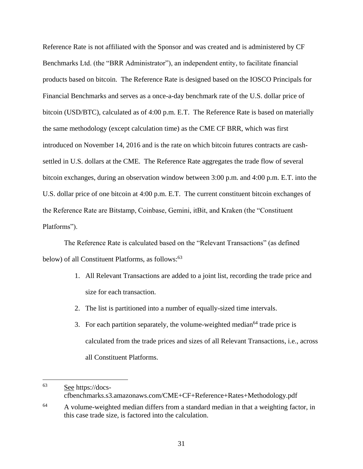Reference Rate is not affiliated with the Sponsor and was created and is administered by CF Benchmarks Ltd. (the "BRR Administrator"), an independent entity, to facilitate financial products based on bitcoin. The Reference Rate is designed based on the IOSCO Principals for Financial Benchmarks and serves as a once-a-day benchmark rate of the U.S. dollar price of bitcoin (USD/BTC), calculated as of 4:00 p.m. E.T. The Reference Rate is based on materially the same methodology (except calculation time) as the CME CF BRR, which was first introduced on November 14, 2016 and is the rate on which bitcoin futures contracts are cashsettled in U.S. dollars at the CME. The Reference Rate aggregates the trade flow of several bitcoin exchanges, during an observation window between 3:00 p.m. and 4:00 p.m. E.T. into the U.S. dollar price of one bitcoin at 4:00 p.m. E.T. The current constituent bitcoin exchanges of the Reference Rate are Bitstamp, Coinbase, Gemini, itBit, and Kraken (the "Constituent Platforms").

The Reference Rate is calculated based on the "Relevant Transactions" (as defined below) of all Constituent Platforms, as follows:<sup>63</sup>

- 1. All Relevant Transactions are added to a joint list, recording the trade price and size for each transaction.
- 2. The list is partitioned into a number of equally-sized time intervals.
- 3. For each partition separately, the volume-weighted median<sup>64</sup> trade price is calculated from the trade prices and sizes of all Relevant Transactions, i.e., across all Constituent Platforms.

<sup>63</sup> See https://docscfbenchmarks.s3.amazonaws.com/CME+CF+Reference+Rates+Methodology.pdf

<sup>&</sup>lt;sup>64</sup> A volume-weighted median differs from a standard median in that a weighting factor, in this case trade size, is factored into the calculation.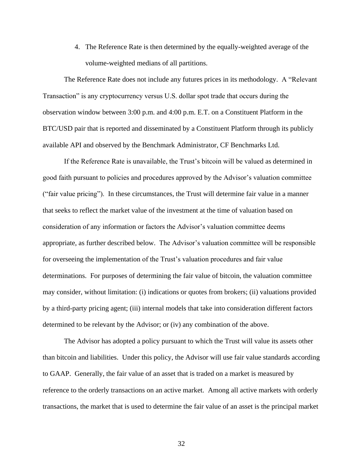4. The Reference Rate is then determined by the equally-weighted average of the volume-weighted medians of all partitions.

The Reference Rate does not include any futures prices in its methodology. A "Relevant Transaction" is any cryptocurrency versus U.S. dollar spot trade that occurs during the observation window between 3:00 p.m. and 4:00 p.m. E.T. on a Constituent Platform in the BTC/USD pair that is reported and disseminated by a Constituent Platform through its publicly available API and observed by the Benchmark Administrator, CF Benchmarks Ltd.

If the Reference Rate is unavailable, the Trust's bitcoin will be valued as determined in good faith pursuant to policies and procedures approved by the Advisor's valuation committee ("fair value pricing"). In these circumstances, the Trust will determine fair value in a manner that seeks to reflect the market value of the investment at the time of valuation based on consideration of any information or factors the Advisor's valuation committee deems appropriate, as further described below. The Advisor's valuation committee will be responsible for overseeing the implementation of the Trust's valuation procedures and fair value determinations. For purposes of determining the fair value of bitcoin, the valuation committee may consider, without limitation: (i) indications or quotes from brokers; (ii) valuations provided by a third-party pricing agent; (iii) internal models that take into consideration different factors determined to be relevant by the Advisor; or (iv) any combination of the above.

The Advisor has adopted a policy pursuant to which the Trust will value its assets other than bitcoin and liabilities. Under this policy, the Advisor will use fair value standards according to GAAP. Generally, the fair value of an asset that is traded on a market is measured by reference to the orderly transactions on an active market. Among all active markets with orderly transactions, the market that is used to determine the fair value of an asset is the principal market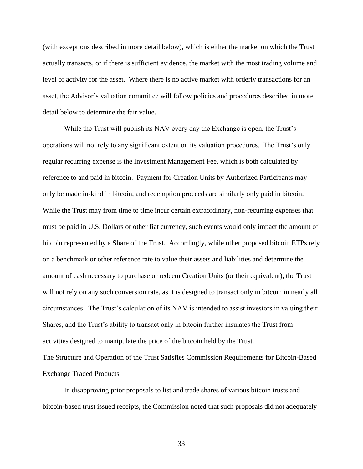(with exceptions described in more detail below), which is either the market on which the Trust actually transacts, or if there is sufficient evidence, the market with the most trading volume and level of activity for the asset. Where there is no active market with orderly transactions for an asset, the Advisor's valuation committee will follow policies and procedures described in more detail below to determine the fair value.

While the Trust will publish its NAV every day the Exchange is open, the Trust's operations will not rely to any significant extent on its valuation procedures. The Trust's only regular recurring expense is the Investment Management Fee, which is both calculated by reference to and paid in bitcoin. Payment for Creation Units by Authorized Participants may only be made in-kind in bitcoin, and redemption proceeds are similarly only paid in bitcoin. While the Trust may from time to time incur certain extraordinary, non-recurring expenses that must be paid in U.S. Dollars or other fiat currency, such events would only impact the amount of bitcoin represented by a Share of the Trust. Accordingly, while other proposed bitcoin ETPs rely on a benchmark or other reference rate to value their assets and liabilities and determine the amount of cash necessary to purchase or redeem Creation Units (or their equivalent), the Trust will not rely on any such conversion rate, as it is designed to transact only in bitcoin in nearly all circumstances. The Trust's calculation of its NAV is intended to assist investors in valuing their Shares, and the Trust's ability to transact only in bitcoin further insulates the Trust from activities designed to manipulate the price of the bitcoin held by the Trust.

The Structure and Operation of the Trust Satisfies Commission Requirements for Bitcoin-Based Exchange Traded Products

In disapproving prior proposals to list and trade shares of various bitcoin trusts and bitcoin-based trust issued receipts, the Commission noted that such proposals did not adequately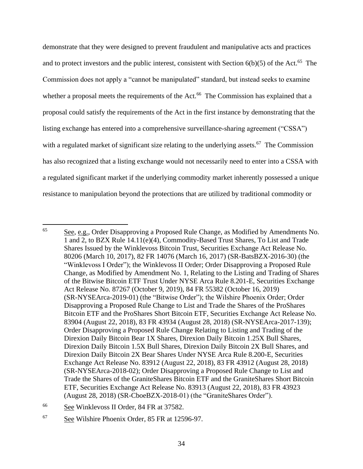demonstrate that they were designed to prevent fraudulent and manipulative acts and practices and to protect investors and the public interest, consistent with Section  $6(b)(5)$  of the Act.<sup>65</sup> The Commission does not apply a "cannot be manipulated" standard, but instead seeks to examine whether a proposal meets the requirements of the Act.<sup>66</sup> The Commission has explained that a proposal could satisfy the requirements of the Act in the first instance by demonstrating that the listing exchange has entered into a comprehensive surveillance-sharing agreement ("CSSA") with a regulated market of significant size relating to the underlying assets.<sup>67</sup> The Commission has also recognized that a listing exchange would not necessarily need to enter into a CSSA with a regulated significant market if the underlying commodity market inherently possessed a unique resistance to manipulation beyond the protections that are utilized by traditional commodity or

<sup>65</sup> See, e.g., Order Disapproving a Proposed Rule Change, as Modified by Amendments No. 1 and 2, to BZX Rule 14.11(e)(4), Commodity-Based Trust Shares, To List and Trade Shares Issued by the Winklevoss Bitcoin Trust, Securities Exchange Act Release No. 80206 (March 10, 2017), 82 FR 14076 (March 16, 2017) (SR-BatsBZX-2016-30) (the "Winklevoss I Order"); the Winklevoss II Order; Order Disapproving a Proposed Rule Change, as Modified by Amendment No. 1, Relating to the Listing and Trading of Shares of the Bitwise Bitcoin ETF Trust Under NYSE Arca Rule 8.201-E, Securities Exchange Act Release No. 87267 (October 9, 2019), 84 FR 55382 (October 16, 2019) (SR-NYSEArca-2019-01) (the "Bitwise Order"); the Wilshire Phoenix Order; Order Disapproving a Proposed Rule Change to List and Trade the Shares of the ProShares Bitcoin ETF and the ProShares Short Bitcoin ETF, Securities Exchange Act Release No. 83904 (August 22, 2018), 83 FR 43934 (August 28, 2018) (SR-NYSEArca-2017-139); Order Disapproving a Proposed Rule Change Relating to Listing and Trading of the Direxion Daily Bitcoin Bear 1X Shares, Direxion Daily Bitcoin 1.25X Bull Shares, Direxion Daily Bitcoin 1.5X Bull Shares, Direxion Daily Bitcoin 2X Bull Shares, and Direxion Daily Bitcoin 2X Bear Shares Under NYSE Arca Rule 8.200-E, Securities Exchange Act Release No. 83912 (August 22, 2018), 83 FR 43912 (August 28, 2018) (SR-NYSEArca-2018-02); Order Disapproving a Proposed Rule Change to List and Trade the Shares of the GraniteShares Bitcoin ETF and the GraniteShares Short Bitcoin ETF, Securities Exchange Act Release No. 83913 (August 22, 2018), 83 FR 43923 (August 28, 2018) (SR-CboeBZX-2018-01) (the "GraniteShares Order").

<sup>&</sup>lt;sup>66</sup> See Winklevoss II Order, 84 FR at 37582.

<sup>67</sup> See Wilshire Phoenix Order, 85 FR at 12596-97.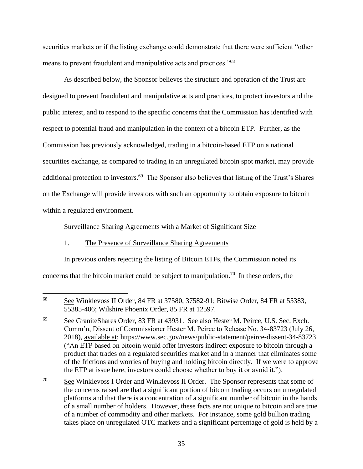securities markets or if the listing exchange could demonstrate that there were sufficient "other means to prevent fraudulent and manipulative acts and practices."<sup>68</sup>

As described below, the Sponsor believes the structure and operation of the Trust are designed to prevent fraudulent and manipulative acts and practices, to protect investors and the public interest, and to respond to the specific concerns that the Commission has identified with respect to potential fraud and manipulation in the context of a bitcoin ETP. Further, as the Commission has previously acknowledged, trading in a bitcoin-based ETP on a national securities exchange, as compared to trading in an unregulated bitcoin spot market, may provide additional protection to investors.<sup>69</sup> The Sponsor also believes that listing of the Trust's Shares on the Exchange will provide investors with such an opportunity to obtain exposure to bitcoin within a regulated environment.

# Surveillance Sharing Agreements with a Market of Significant Size

# 1. The Presence of Surveillance Sharing Agreements

 $\overline{a}$ 

In previous orders rejecting the listing of Bitcoin ETFs, the Commission noted its concerns that the bitcoin market could be subject to manipulation.<sup>70</sup> In these orders, the

<sup>68</sup> See Winklevoss II Order, 84 FR at 37580, 37582-91; Bitwise Order, 84 FR at 55383, 55385-406; Wilshire Phoenix Order, 85 FR at 12597.

<sup>&</sup>lt;sup>69</sup> See GraniteShares Order, 83 FR at 43931. See also Hester M. Peirce, U.S. Sec. Exch. Comm'n, Dissent of Commissioner Hester M. Peirce to Release No. 34-83723 (July 26, 2018), available at: https://www.sec.gov/news/public-statement/peirce-dissent-34-83723 ("An ETP based on bitcoin would offer investors indirect exposure to bitcoin through a product that trades on a regulated securities market and in a manner that eliminates some of the frictions and worries of buying and holding bitcoin directly. If we were to approve the ETP at issue here, investors could choose whether to buy it or avoid it.").

<sup>&</sup>lt;sup>70</sup> See Winklevoss I Order and Winklevoss II Order. The Sponsor represents that some of the concerns raised are that a significant portion of bitcoin trading occurs on unregulated platforms and that there is a concentration of a significant number of bitcoin in the hands of a small number of holders. However, these facts are not unique to bitcoin and are true of a number of commodity and other markets. For instance, some gold bullion trading takes place on unregulated OTC markets and a significant percentage of gold is held by a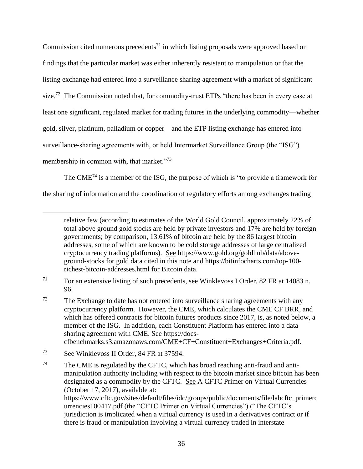Commission cited numerous precedents<sup>71</sup> in which listing proposals were approved based on findings that the particular market was either inherently resistant to manipulation or that the listing exchange had entered into a surveillance sharing agreement with a market of significant size.<sup>72</sup> The Commission noted that, for commodity-trust ETPs "there has been in every case at least one significant, regulated market for trading futures in the underlying commodity—whether gold, silver, platinum, palladium or copper—and the ETP listing exchange has entered into surveillance-sharing agreements with, or held Intermarket Surveillance Group (the "ISG") membership in common with, that market."<sup>73</sup>

The CME<sup>74</sup> is a member of the ISG, the purpose of which is "to provide a framework for the sharing of information and the coordination of regulatory efforts among exchanges trading

relative few (according to estimates of the World Gold Council, approximately 22% of total above ground gold stocks are held by private investors and 17% are held by foreign governments; by comparison, 13.61% of bitcoin are held by the 86 largest bitcoin addresses, some of which are known to be cold storage addresses of large centralized cryptocurrency trading platforms). See https://www.gold.org/goldhub/data/aboveground-stocks for gold data cited in this note and https://bitinfocharts.com/top-100 richest-bitcoin-addresses.html for Bitcoin data.

<sup>&</sup>lt;sup>71</sup> For an extensive listing of such precedents, see Winklevoss I Order, 82 FR at 14083 n. 96.

 $72$  The Exchange to date has not entered into surveillance sharing agreements with any cryptocurrency platform. However, the CME, which calculates the CME CF BRR, and which has offered contracts for bitcoin futures products since 2017, is, as noted below, a member of the ISG. In addition, each Constituent Platform has entered into a data sharing agreement with CME. See https://docs-

cfbenchmarks.s3.amazonaws.com/CME+CF+Constituent+Exchanges+Criteria.pdf.

<sup>73</sup> See Winklevoss II Order, 84 FR at 37594.

<sup>&</sup>lt;sup>74</sup> The CME is regulated by the CFTC, which has broad reaching anti-fraud and antimanipulation authority including with respect to the bitcoin market since bitcoin has been designated as a commodity by the CFTC. See A CFTC Primer on Virtual Currencies (October 17, 2017), available at: https://www.cftc.gov/sites/default/files/idc/groups/public/documents/file/labcftc\_primerc urrencies100417.pdf (the "CFTC Primer on Virtual Currencies") ("The CFTC's jurisdiction is implicated when a virtual currency is used in a derivatives contract or if there is fraud or manipulation involving a virtual currency traded in interstate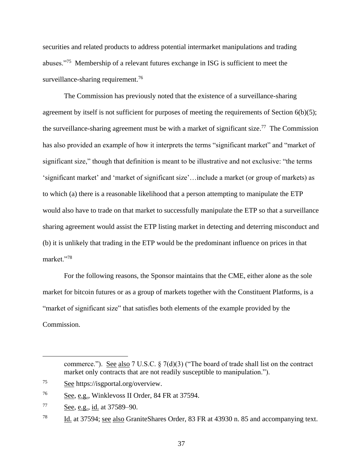securities and related products to address potential intermarket manipulations and trading abuses."<sup>75</sup> Membership of a relevant futures exchange in ISG is sufficient to meet the surveillance-sharing requirement.<sup>76</sup>

The Commission has previously noted that the existence of a surveillance-sharing agreement by itself is not sufficient for purposes of meeting the requirements of Section  $6(b)(5)$ ; the surveillance-sharing agreement must be with a market of significant size.<sup>77</sup> The Commission has also provided an example of how it interprets the terms "significant market" and "market of significant size," though that definition is meant to be illustrative and not exclusive: "the terms 'significant market' and 'market of significant size'…include a market (or group of markets) as to which (a) there is a reasonable likelihood that a person attempting to manipulate the ETP would also have to trade on that market to successfully manipulate the ETP so that a surveillance sharing agreement would assist the ETP listing market in detecting and deterring misconduct and (b) it is unlikely that trading in the ETP would be the predominant influence on prices in that market."<sup>78</sup>

For the following reasons, the Sponsor maintains that the CME, either alone as the sole market for bitcoin futures or as a group of markets together with the Constituent Platforms, is a "market of significant size" that satisfies both elements of the example provided by the Commission.

commerce."). See also 7 U.S.C.  $\frac{5}{7}$  (d)(3) ("The board of trade shall list on the contract market only contracts that are not readily susceptible to manipulation.").

<sup>75</sup> See https://isgportal.org/overview.

<sup>76</sup> See, e.g., Winklevoss II Order, 84 FR at 37594.

 $\frac{77}{2}$  See, e.g., id. at 37589–90.

<sup>78</sup> Id. at 37594; see also GraniteShares Order, 83 FR at 43930 n. 85 and accompanying text.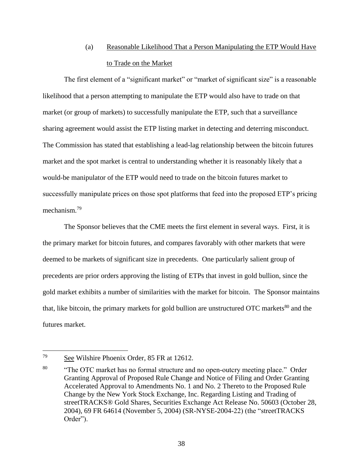# (a) Reasonable Likelihood That a Person Manipulating the ETP Would Have to Trade on the Market

The first element of a "significant market" or "market of significant size" is a reasonable likelihood that a person attempting to manipulate the ETP would also have to trade on that market (or group of markets) to successfully manipulate the ETP, such that a surveillance sharing agreement would assist the ETP listing market in detecting and deterring misconduct. The Commission has stated that establishing a lead-lag relationship between the bitcoin futures market and the spot market is central to understanding whether it is reasonably likely that a would-be manipulator of the ETP would need to trade on the bitcoin futures market to successfully manipulate prices on those spot platforms that feed into the proposed ETP's pricing mechanism.<sup>79</sup>

The Sponsor believes that the CME meets the first element in several ways. First, it is the primary market for bitcoin futures, and compares favorably with other markets that were deemed to be markets of significant size in precedents. One particularly salient group of precedents are prior orders approving the listing of ETPs that invest in gold bullion, since the gold market exhibits a number of similarities with the market for bitcoin. The Sponsor maintains that, like bitcoin, the primary markets for gold bullion are unstructured OTC markets<sup>80</sup> and the futures market.

<sup>&</sup>lt;sup>79</sup> See Wilshire Phoenix Order, 85 FR at 12612.

<sup>80</sup> "The OTC market has no formal structure and no open-outcry meeting place." Order Granting Approval of Proposed Rule Change and Notice of Filing and Order Granting Accelerated Approval to Amendments No. 1 and No. 2 Thereto to the Proposed Rule Change by the New York Stock Exchange, Inc. Regarding Listing and Trading of streetTRACKS® Gold Shares, Securities Exchange Act Release No. 50603 (October 28, 2004), 69 FR 64614 (November 5, 2004) (SR-NYSE-2004-22) (the "streetTRACKS Order").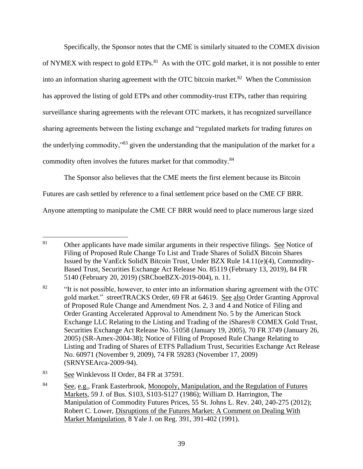Specifically, the Sponsor notes that the CME is similarly situated to the COMEX division of NYMEX with respect to gold  $ETPs$ .<sup>81</sup> As with the OTC gold market, it is not possible to enter into an information sharing agreement with the OTC bitcoin market.<sup>82</sup> When the Commission has approved the listing of gold ETPs and other commodity-trust ETPs, rather than requiring surveillance sharing agreements with the relevant OTC markets, it has recognized surveillance sharing agreements between the listing exchange and "regulated markets for trading futures on the underlying commodity,"<sup>83</sup> given the understanding that the manipulation of the market for a commodity often involves the futures market for that commodity.<sup>84</sup>

The Sponsor also believes that the CME meets the first element because its Bitcoin Futures are cash settled by reference to a final settlement price based on the CME CF BRR. Anyone attempting to manipulate the CME CF BRR would need to place numerous large sized

<sup>81</sup> <sup>81</sup> Other applicants have made similar arguments in their respective filings. See Notice of Filing of Proposed Rule Change To List and Trade Shares of SolidX Bitcoin Shares Issued by the VanEck SolidX Bitcoin Trust, Under BZX Rule 14.11(e)(4), Commodity-Based Trust, Securities Exchange Act Release No. 85119 (February 13, 2019), 84 FR 5140 (February 20, 2019) (SRCboeBZX-2019-004), n. 11.

<sup>&</sup>lt;sup>82</sup> "It is not possible, however, to enter into an information sharing agreement with the OTC gold market." streetTRACKS Order, 69 FR at 64619. See also Order Granting Approval of Proposed Rule Change and Amendment Nos. 2, 3 and 4 and Notice of Filing and Order Granting Accelerated Approval to Amendment No. 5 by the American Stock Exchange LLC Relating to the Listing and Trading of the iShares® COMEX Gold Trust, Securities Exchange Act Release No. 51058 (January 19, 2005), 70 FR 3749 (January 26, 2005) (SR-Amex-2004-38); Notice of Filing of Proposed Rule Change Relating to Listing and Trading of Shares of ETFS Palladium Trust, Securities Exchange Act Release No. 60971 (November 9, 2009), 74 FR 59283 (November 17, 2009) (SRNYSEArca-2009-94).

<sup>83</sup> See Winklevoss II Order, 84 FR at 37591.

<sup>&</sup>lt;sup>84</sup> See, e.g., Frank Easterbrook, Monopoly, Manipulation, and the Regulation of Futures Markets, 59 J. of Bus. S103, S103-S127 (1986); William D. Harrington, The Manipulation of Commodity Futures Prices, 55 St. Johns L. Rev. 240, 240-275 (2012); Robert C. Lower, Disruptions of the Futures Market: A Comment on Dealing With Market Manipulation, 8 Yale J. on Reg. 391, 391-402 (1991).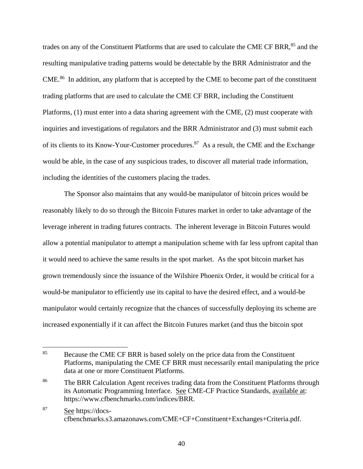trades on any of the Constituent Platforms that are used to calculate the CME CF BRR,<sup>85</sup> and the resulting manipulative trading patterns would be detectable by the BRR Administrator and the CME.<sup>86</sup> In addition, any platform that is accepted by the CME to become part of the constituent trading platforms that are used to calculate the CME CF BRR, including the Constituent Platforms, (1) must enter into a data sharing agreement with the CME, (2) must cooperate with inquiries and investigations of regulators and the BRR Administrator and (3) must submit each of its clients to its Know-Your-Customer procedures.<sup>87</sup> As a result, the CME and the Exchange would be able, in the case of any suspicious trades, to discover all material trade information, including the identities of the customers placing the trades.

The Sponsor also maintains that any would-be manipulator of bitcoin prices would be reasonably likely to do so through the Bitcoin Futures market in order to take advantage of the leverage inherent in trading futures contracts. The inherent leverage in Bitcoin Futures would allow a potential manipulator to attempt a manipulation scheme with far less upfront capital than it would need to achieve the same results in the spot market. As the spot bitcoin market has grown tremendously since the issuance of the Wilshire Phoenix Order, it would be critical for a would-be manipulator to efficiently use its capital to have the desired effect, and a would-be manipulator would certainly recognize that the chances of successfully deploying its scheme are increased exponentially if it can affect the Bitcoin Futures market (and thus the bitcoin spot

 $\overline{a}$ 

<sup>87</sup> See https://docscfbenchmarks.s3.amazonaws.com/CME+CF+Constituent+Exchanges+Criteria.pdf.

<sup>&</sup>lt;sup>85</sup> Because the CME CF BRR is based solely on the price data from the Constituent Platforms, manipulating the CME CF BRR must necessarily entail manipulating the price data at one or more Constituent Platforms.

<sup>&</sup>lt;sup>86</sup> The BRR Calculation Agent receives trading data from the Constituent Platforms through its Automatic Programming Interface. See CME-CF Practice Standards, available at: https://www.cfbenchmarks.com/indices/BRR.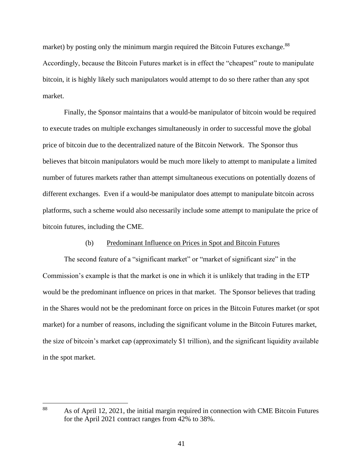market) by posting only the minimum margin required the Bitcoin Futures exchange.<sup>88</sup> Accordingly, because the Bitcoin Futures market is in effect the "cheapest" route to manipulate bitcoin, it is highly likely such manipulators would attempt to do so there rather than any spot market.

Finally, the Sponsor maintains that a would-be manipulator of bitcoin would be required to execute trades on multiple exchanges simultaneously in order to successful move the global price of bitcoin due to the decentralized nature of the Bitcoin Network. The Sponsor thus believes that bitcoin manipulators would be much more likely to attempt to manipulate a limited number of futures markets rather than attempt simultaneous executions on potentially dozens of different exchanges. Even if a would-be manipulator does attempt to manipulate bitcoin across platforms, such a scheme would also necessarily include some attempt to manipulate the price of bitcoin futures, including the CME.

## (b) Predominant Influence on Prices in Spot and Bitcoin Futures

The second feature of a "significant market" or "market of significant size" in the Commission's example is that the market is one in which it is unlikely that trading in the ETP would be the predominant influence on prices in that market. The Sponsor believes that trading in the Shares would not be the predominant force on prices in the Bitcoin Futures market (or spot market) for a number of reasons, including the significant volume in the Bitcoin Futures market, the size of bitcoin's market cap (approximately \$1 trillion), and the significant liquidity available in the spot market.

<sup>88</sup> <sup>88</sup> As of April 12, 2021, the initial margin required in connection with CME Bitcoin Futures for the April 2021 contract ranges from 42% to 38%.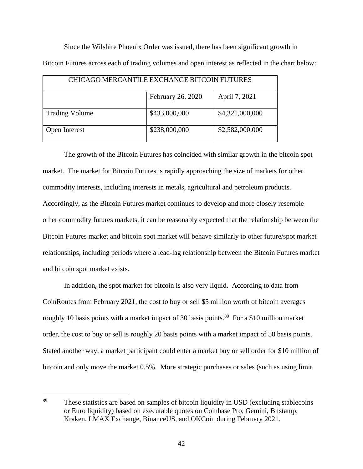Since the Wilshire Phoenix Order was issued, there has been significant growth in Bitcoin Futures across each of trading volumes and open interest as reflected in the chart below:

| CHICAGO MERCANTILE EXCHANGE BITCOIN FUTURES |                   |                 |
|---------------------------------------------|-------------------|-----------------|
|                                             |                   |                 |
|                                             | February 26, 2020 | April 7, 2021   |
|                                             |                   |                 |
| <b>Trading Volume</b>                       | \$433,000,000     | \$4,321,000,000 |
|                                             |                   |                 |
|                                             |                   |                 |
| Open Interest                               | \$238,000,000     | \$2,582,000,000 |
|                                             |                   |                 |

The growth of the Bitcoin Futures has coincided with similar growth in the bitcoin spot market. The market for Bitcoin Futures is rapidly approaching the size of markets for other commodity interests, including interests in metals, agricultural and petroleum products. Accordingly, as the Bitcoin Futures market continues to develop and more closely resemble other commodity futures markets, it can be reasonably expected that the relationship between the Bitcoin Futures market and bitcoin spot market will behave similarly to other future/spot market relationships, including periods where a lead-lag relationship between the Bitcoin Futures market and bitcoin spot market exists.

In addition, the spot market for bitcoin is also very liquid. According to data from CoinRoutes from February 2021, the cost to buy or sell \$5 million worth of bitcoin averages roughly 10 basis points with a market impact of 30 basis points.<sup>89</sup> For a \$10 million market order, the cost to buy or sell is roughly 20 basis points with a market impact of 50 basis points. Stated another way, a market participant could enter a market buy or sell order for \$10 million of bitcoin and only move the market 0.5%. More strategic purchases or sales (such as using limit

<sup>&</sup>lt;sup>89</sup> These statistics are based on samples of bitcoin liquidity in USD (excluding stablecoins or Euro liquidity) based on executable quotes on Coinbase Pro, Gemini, Bitstamp, Kraken, LMAX Exchange, BinanceUS, and OKCoin during February 2021.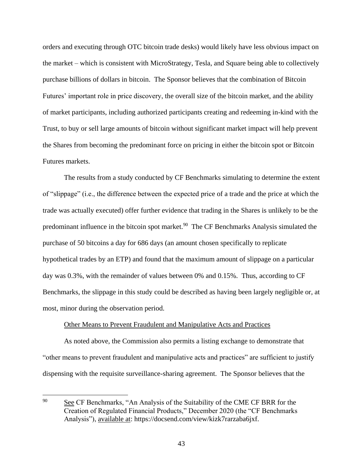orders and executing through OTC bitcoin trade desks) would likely have less obvious impact on the market – which is consistent with MicroStrategy, Tesla, and Square being able to collectively purchase billions of dollars in bitcoin. The Sponsor believes that the combination of Bitcoin Futures' important role in price discovery, the overall size of the bitcoin market, and the ability of market participants, including authorized participants creating and redeeming in-kind with the Trust, to buy or sell large amounts of bitcoin without significant market impact will help prevent the Shares from becoming the predominant force on pricing in either the bitcoin spot or Bitcoin Futures markets.

The results from a study conducted by CF Benchmarks simulating to determine the extent of "slippage" (i.e., the difference between the expected price of a trade and the price at which the trade was actually executed) offer further evidence that trading in the Shares is unlikely to be the predominant influence in the bitcoin spot market.<sup>90</sup> The CF Benchmarks Analysis simulated the purchase of 50 bitcoins a day for 686 days (an amount chosen specifically to replicate hypothetical trades by an ETP) and found that the maximum amount of slippage on a particular day was 0.3%, with the remainder of values between 0% and 0.15%. Thus, according to CF Benchmarks, the slippage in this study could be described as having been largely negligible or, at most, minor during the observation period.

## Other Means to Prevent Fraudulent and Manipulative Acts and Practices

As noted above, the Commission also permits a listing exchange to demonstrate that "other means to prevent fraudulent and manipulative acts and practices" are sufficient to justify dispensing with the requisite surveillance-sharing agreement. The Sponsor believes that the

<sup>&</sup>lt;sup>90</sup> See CF Benchmarks, "An Analysis of the Suitability of the CME CF BRR for the Creation of Regulated Financial Products," December 2020 (the "CF Benchmarks Analysis"), available at: https://docsend.com/view/kizk7rarzaba6jxf.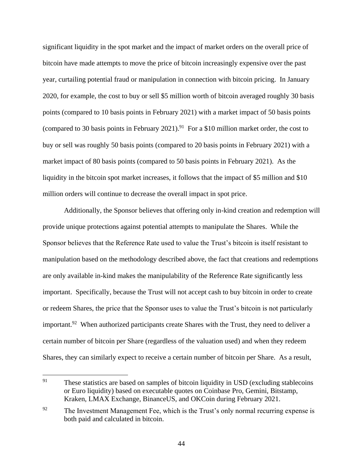significant liquidity in the spot market and the impact of market orders on the overall price of bitcoin have made attempts to move the price of bitcoin increasingly expensive over the past year, curtailing potential fraud or manipulation in connection with bitcoin pricing. In January 2020, for example, the cost to buy or sell \$5 million worth of bitcoin averaged roughly 30 basis points (compared to 10 basis points in February 2021) with a market impact of 50 basis points (compared to 30 basis points in February 2021).<sup>91</sup> For a \$10 million market order, the cost to buy or sell was roughly 50 basis points (compared to 20 basis points in February 2021) with a market impact of 80 basis points (compared to 50 basis points in February 2021). As the liquidity in the bitcoin spot market increases, it follows that the impact of \$5 million and \$10 million orders will continue to decrease the overall impact in spot price.

Additionally, the Sponsor believes that offering only in-kind creation and redemption will provide unique protections against potential attempts to manipulate the Shares. While the Sponsor believes that the Reference Rate used to value the Trust's bitcoin is itself resistant to manipulation based on the methodology described above, the fact that creations and redemptions are only available in-kind makes the manipulability of the Reference Rate significantly less important. Specifically, because the Trust will not accept cash to buy bitcoin in order to create or redeem Shares, the price that the Sponsor uses to value the Trust's bitcoin is not particularly important.<sup>92</sup> When authorized participants create Shares with the Trust, they need to deliver a certain number of bitcoin per Share (regardless of the valuation used) and when they redeem Shares, they can similarly expect to receive a certain number of bitcoin per Share. As a result,

<sup>91</sup> These statistics are based on samples of bitcoin liquidity in USD (excluding stablecoins or Euro liquidity) based on executable quotes on Coinbase Pro, Gemini, Bitstamp, Kraken, LMAX Exchange, BinanceUS, and OKCoin during February 2021.

<sup>&</sup>lt;sup>92</sup> The Investment Management Fee, which is the Trust's only normal recurring expense is both paid and calculated in bitcoin.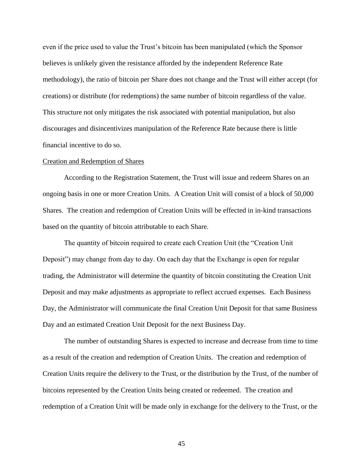even if the price used to value the Trust's bitcoin has been manipulated (which the Sponsor believes is unlikely given the resistance afforded by the independent Reference Rate methodology), the ratio of bitcoin per Share does not change and the Trust will either accept (for creations) or distribute (for redemptions) the same number of bitcoin regardless of the value. This structure not only mitigates the risk associated with potential manipulation, but also discourages and disincentivizes manipulation of the Reference Rate because there is little financial incentive to do so.

#### Creation and Redemption of Shares

According to the Registration Statement, the Trust will issue and redeem Shares on an ongoing basis in one or more Creation Units. A Creation Unit will consist of a block of 50,000 Shares. The creation and redemption of Creation Units will be effected in in-kind transactions based on the quantity of bitcoin attributable to each Share.

The quantity of bitcoin required to create each Creation Unit (the "Creation Unit Deposit") may change from day to day. On each day that the Exchange is open for regular trading, the Administrator will determine the quantity of bitcoin constituting the Creation Unit Deposit and may make adjustments as appropriate to reflect accrued expenses. Each Business Day, the Administrator will communicate the final Creation Unit Deposit for that same Business Day and an estimated Creation Unit Deposit for the next Business Day.

The number of outstanding Shares is expected to increase and decrease from time to time as a result of the creation and redemption of Creation Units. The creation and redemption of Creation Units require the delivery to the Trust, or the distribution by the Trust, of the number of bitcoins represented by the Creation Units being created or redeemed. The creation and redemption of a Creation Unit will be made only in exchange for the delivery to the Trust, or the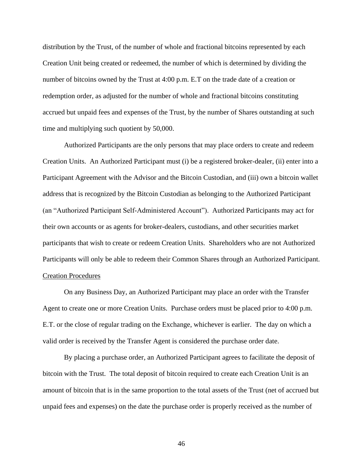distribution by the Trust, of the number of whole and fractional bitcoins represented by each Creation Unit being created or redeemed, the number of which is determined by dividing the number of bitcoins owned by the Trust at 4:00 p.m. E.T on the trade date of a creation or redemption order, as adjusted for the number of whole and fractional bitcoins constituting accrued but unpaid fees and expenses of the Trust, by the number of Shares outstanding at such time and multiplying such quotient by 50,000.

Authorized Participants are the only persons that may place orders to create and redeem Creation Units. An Authorized Participant must (i) be a registered broker-dealer, (ii) enter into a Participant Agreement with the Advisor and the Bitcoin Custodian, and (iii) own a bitcoin wallet address that is recognized by the Bitcoin Custodian as belonging to the Authorized Participant (an "Authorized Participant Self-Administered Account"). Authorized Participants may act for their own accounts or as agents for broker-dealers, custodians, and other securities market participants that wish to create or redeem Creation Units. Shareholders who are not Authorized Participants will only be able to redeem their Common Shares through an Authorized Participant. Creation Procedures

On any Business Day, an Authorized Participant may place an order with the Transfer Agent to create one or more Creation Units. Purchase orders must be placed prior to 4:00 p.m. E.T. or the close of regular trading on the Exchange, whichever is earlier. The day on which a valid order is received by the Transfer Agent is considered the purchase order date.

By placing a purchase order, an Authorized Participant agrees to facilitate the deposit of bitcoin with the Trust. The total deposit of bitcoin required to create each Creation Unit is an amount of bitcoin that is in the same proportion to the total assets of the Trust (net of accrued but unpaid fees and expenses) on the date the purchase order is properly received as the number of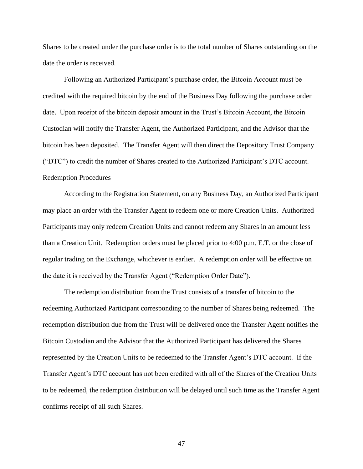Shares to be created under the purchase order is to the total number of Shares outstanding on the date the order is received.

Following an Authorized Participant's purchase order, the Bitcoin Account must be credited with the required bitcoin by the end of the Business Day following the purchase order date. Upon receipt of the bitcoin deposit amount in the Trust's Bitcoin Account, the Bitcoin Custodian will notify the Transfer Agent, the Authorized Participant, and the Advisor that the bitcoin has been deposited. The Transfer Agent will then direct the Depository Trust Company ("DTC") to credit the number of Shares created to the Authorized Participant's DTC account. Redemption Procedures

According to the Registration Statement, on any Business Day, an Authorized Participant may place an order with the Transfer Agent to redeem one or more Creation Units. Authorized Participants may only redeem Creation Units and cannot redeem any Shares in an amount less than a Creation Unit. Redemption orders must be placed prior to 4:00 p.m. E.T. or the close of regular trading on the Exchange, whichever is earlier. A redemption order will be effective on the date it is received by the Transfer Agent ("Redemption Order Date").

The redemption distribution from the Trust consists of a transfer of bitcoin to the redeeming Authorized Participant corresponding to the number of Shares being redeemed. The redemption distribution due from the Trust will be delivered once the Transfer Agent notifies the Bitcoin Custodian and the Advisor that the Authorized Participant has delivered the Shares represented by the Creation Units to be redeemed to the Transfer Agent's DTC account. If the Transfer Agent's DTC account has not been credited with all of the Shares of the Creation Units to be redeemed, the redemption distribution will be delayed until such time as the Transfer Agent confirms receipt of all such Shares.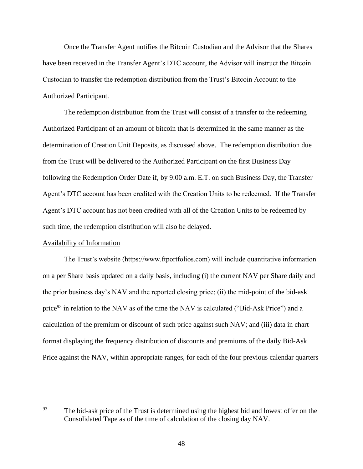Once the Transfer Agent notifies the Bitcoin Custodian and the Advisor that the Shares have been received in the Transfer Agent's DTC account, the Advisor will instruct the Bitcoin Custodian to transfer the redemption distribution from the Trust's Bitcoin Account to the Authorized Participant.

The redemption distribution from the Trust will consist of a transfer to the redeeming Authorized Participant of an amount of bitcoin that is determined in the same manner as the determination of Creation Unit Deposits, as discussed above. The redemption distribution due from the Trust will be delivered to the Authorized Participant on the first Business Day following the Redemption Order Date if, by 9:00 a.m. E.T. on such Business Day, the Transfer Agent's DTC account has been credited with the Creation Units to be redeemed. If the Transfer Agent's DTC account has not been credited with all of the Creation Units to be redeemed by such time, the redemption distribution will also be delayed.

## Availability of Information

The Trust's website (https://www.ftportfolios.com) will include quantitative information on a per Share basis updated on a daily basis, including (i) the current NAV per Share daily and the prior business day's NAV and the reported closing price; (ii) the mid-point of the bid-ask price<sup>93</sup> in relation to the NAV as of the time the NAV is calculated ("Bid-Ask Price") and a calculation of the premium or discount of such price against such NAV; and (iii) data in chart format displaying the frequency distribution of discounts and premiums of the daily Bid-Ask Price against the NAV, within appropriate ranges, for each of the four previous calendar quarters

<sup>93</sup> The bid-ask price of the Trust is determined using the highest bid and lowest offer on the Consolidated Tape as of the time of calculation of the closing day NAV.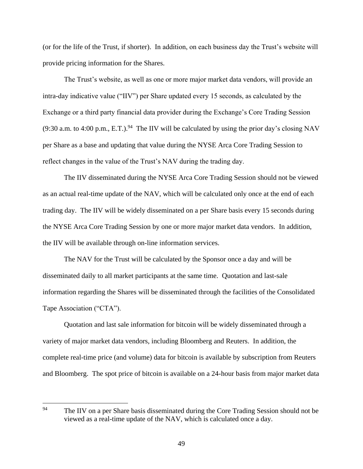(or for the life of the Trust, if shorter). In addition, on each business day the Trust's website will provide pricing information for the Shares.

The Trust's website, as well as one or more major market data vendors, will provide an intra-day indicative value ("IIV") per Share updated every 15 seconds, as calculated by the Exchange or a third party financial data provider during the Exchange's Core Trading Session (9:30 a.m. to 4:00 p.m., E.T.).<sup>94</sup> The IIV will be calculated by using the prior day's closing NAV per Share as a base and updating that value during the NYSE Arca Core Trading Session to reflect changes in the value of the Trust's NAV during the trading day.

The IIV disseminated during the NYSE Arca Core Trading Session should not be viewed as an actual real-time update of the NAV, which will be calculated only once at the end of each trading day. The IIV will be widely disseminated on a per Share basis every 15 seconds during the NYSE Arca Core Trading Session by one or more major market data vendors. In addition, the IIV will be available through on-line information services.

The NAV for the Trust will be calculated by the Sponsor once a day and will be disseminated daily to all market participants at the same time. Quotation and last-sale information regarding the Shares will be disseminated through the facilities of the Consolidated Tape Association ("CTA").

Quotation and last sale information for bitcoin will be widely disseminated through a variety of major market data vendors, including Bloomberg and Reuters. In addition, the complete real-time price (and volume) data for bitcoin is available by subscription from Reuters and Bloomberg. The spot price of bitcoin is available on a 24-hour basis from major market data

<sup>94</sup> The IIV on a per Share basis disseminated during the Core Trading Session should not be viewed as a real-time update of the NAV, which is calculated once a day.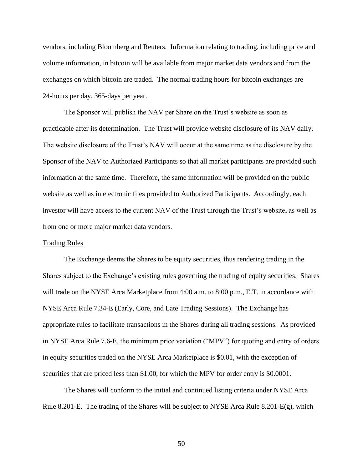vendors, including Bloomberg and Reuters. Information relating to trading, including price and volume information, in bitcoin will be available from major market data vendors and from the exchanges on which bitcoin are traded. The normal trading hours for bitcoin exchanges are 24-hours per day, 365-days per year.

The Sponsor will publish the NAV per Share on the Trust's website as soon as practicable after its determination. The Trust will provide website disclosure of its NAV daily. The website disclosure of the Trust's NAV will occur at the same time as the disclosure by the Sponsor of the NAV to Authorized Participants so that all market participants are provided such information at the same time. Therefore, the same information will be provided on the public website as well as in electronic files provided to Authorized Participants. Accordingly, each investor will have access to the current NAV of the Trust through the Trust's website, as well as from one or more major market data vendors.

## Trading Rules

The Exchange deems the Shares to be equity securities, thus rendering trading in the Shares subject to the Exchange's existing rules governing the trading of equity securities. Shares will trade on the NYSE Arca Marketplace from 4:00 a.m. to 8:00 p.m., E.T. in accordance with NYSE Arca Rule 7.34-E (Early, Core, and Late Trading Sessions). The Exchange has appropriate rules to facilitate transactions in the Shares during all trading sessions. As provided in NYSE Arca Rule 7.6-E, the minimum price variation ("MPV") for quoting and entry of orders in equity securities traded on the NYSE Arca Marketplace is \$0.01, with the exception of securities that are priced less than \$1.00, for which the MPV for order entry is \$0.0001.

The Shares will conform to the initial and continued listing criteria under NYSE Arca Rule 8.201-E. The trading of the Shares will be subject to NYSE Arca Rule 8.201-E(g), which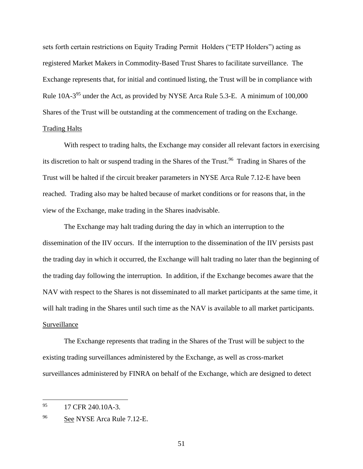sets forth certain restrictions on Equity Trading Permit Holders ("ETP Holders") acting as registered Market Makers in Commodity-Based Trust Shares to facilitate surveillance. The Exchange represents that, for initial and continued listing, the Trust will be in compliance with Rule  $10A-3^{95}$  under the Act, as provided by NYSE Arca Rule 5.3-E. A minimum of  $100,000$ Shares of the Trust will be outstanding at the commencement of trading on the Exchange. Trading Halts

With respect to trading halts, the Exchange may consider all relevant factors in exercising its discretion to halt or suspend trading in the Shares of the Trust.<sup>96</sup> Trading in Shares of the Trust will be halted if the circuit breaker parameters in NYSE Arca Rule 7.12-E have been reached. Trading also may be halted because of market conditions or for reasons that, in the view of the Exchange, make trading in the Shares inadvisable.

The Exchange may halt trading during the day in which an interruption to the dissemination of the IIV occurs. If the interruption to the dissemination of the IIV persists past the trading day in which it occurred, the Exchange will halt trading no later than the beginning of the trading day following the interruption. In addition, if the Exchange becomes aware that the NAV with respect to the Shares is not disseminated to all market participants at the same time, it will halt trading in the Shares until such time as the NAV is available to all market participants. Surveillance

The Exchange represents that trading in the Shares of the Trust will be subject to the existing trading surveillances administered by the Exchange, as well as cross-market surveillances administered by FINRA on behalf of the Exchange, which are designed to detect

 $\overline{a}$ 

<sup>95 17</sup> CFR 240.10A-3.

<sup>96</sup> See NYSE Arca Rule 7.12-E.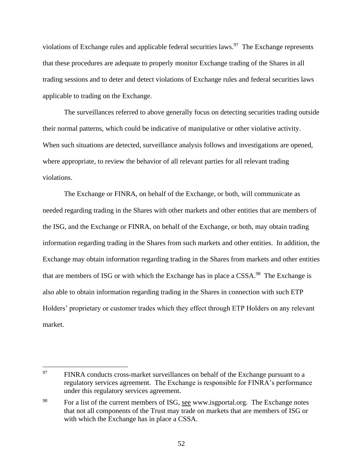violations of Exchange rules and applicable federal securities laws. $97$  The Exchange represents that these procedures are adequate to properly monitor Exchange trading of the Shares in all trading sessions and to deter and detect violations of Exchange rules and federal securities laws applicable to trading on the Exchange.

The surveillances referred to above generally focus on detecting securities trading outside their normal patterns, which could be indicative of manipulative or other violative activity. When such situations are detected, surveillance analysis follows and investigations are opened, where appropriate, to review the behavior of all relevant parties for all relevant trading violations.

The Exchange or FINRA, on behalf of the Exchange, or both, will communicate as needed regarding trading in the Shares with other markets and other entities that are members of the ISG, and the Exchange or FINRA, on behalf of the Exchange, or both, may obtain trading information regarding trading in the Shares from such markets and other entities. In addition, the Exchange may obtain information regarding trading in the Shares from markets and other entities that are members of ISG or with which the Exchange has in place a CSSA.<sup>98</sup> The Exchange is also able to obtain information regarding trading in the Shares in connection with such ETP Holders' proprietary or customer trades which they effect through ETP Holders on any relevant market.

<sup>97</sup> FINRA conducts cross-market surveillances on behalf of the Exchange pursuant to a regulatory services agreement. The Exchange is responsible for FINRA's performance under this regulatory services agreement.

<sup>&</sup>lt;sup>98</sup> For a list of the current members of ISG, see www.isgportal.org. The Exchange notes that not all components of the Trust may trade on markets that are members of ISG or with which the Exchange has in place a CSSA.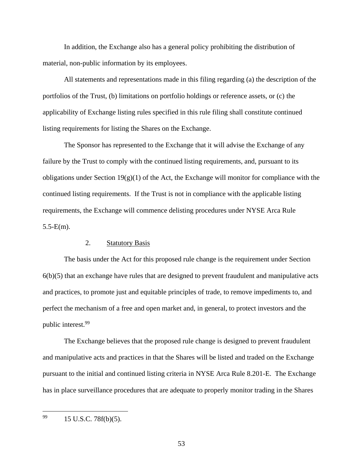In addition, the Exchange also has a general policy prohibiting the distribution of material, non-public information by its employees.

All statements and representations made in this filing regarding (a) the description of the portfolios of the Trust, (b) limitations on portfolio holdings or reference assets, or (c) the applicability of Exchange listing rules specified in this rule filing shall constitute continued listing requirements for listing the Shares on the Exchange.

The Sponsor has represented to the Exchange that it will advise the Exchange of any failure by the Trust to comply with the continued listing requirements, and, pursuant to its obligations under Section  $19(g)(1)$  of the Act, the Exchange will monitor for compliance with the continued listing requirements. If the Trust is not in compliance with the applicable listing requirements, the Exchange will commence delisting procedures under NYSE Arca Rule  $5.5-E(m)$ .

## 2. Statutory Basis

The basis under the Act for this proposed rule change is the requirement under Section 6(b)(5) that an exchange have rules that are designed to prevent fraudulent and manipulative acts and practices, to promote just and equitable principles of trade, to remove impediments to, and perfect the mechanism of a free and open market and, in general, to protect investors and the public interest.<sup>99</sup>

The Exchange believes that the proposed rule change is designed to prevent fraudulent and manipulative acts and practices in that the Shares will be listed and traded on the Exchange pursuant to the initial and continued listing criteria in NYSE Arca Rule 8.201-E. The Exchange has in place surveillance procedures that are adequate to properly monitor trading in the Shares

<sup>99</sup> 15 U.S.C. 78f(b)(5).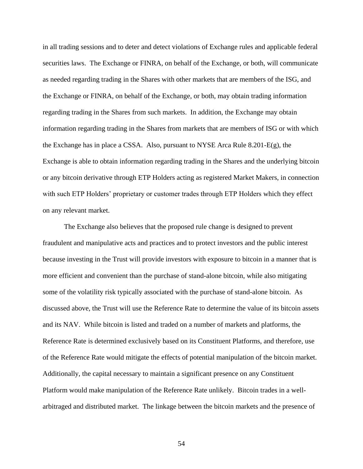in all trading sessions and to deter and detect violations of Exchange rules and applicable federal securities laws. The Exchange or FINRA, on behalf of the Exchange, or both, will communicate as needed regarding trading in the Shares with other markets that are members of the ISG, and the Exchange or FINRA, on behalf of the Exchange, or both, may obtain trading information regarding trading in the Shares from such markets. In addition, the Exchange may obtain information regarding trading in the Shares from markets that are members of ISG or with which the Exchange has in place a CSSA. Also, pursuant to NYSE Arca Rule 8.201-E(g), the Exchange is able to obtain information regarding trading in the Shares and the underlying bitcoin or any bitcoin derivative through ETP Holders acting as registered Market Makers, in connection with such ETP Holders' proprietary or customer trades through ETP Holders which they effect on any relevant market.

The Exchange also believes that the proposed rule change is designed to prevent fraudulent and manipulative acts and practices and to protect investors and the public interest because investing in the Trust will provide investors with exposure to bitcoin in a manner that is more efficient and convenient than the purchase of stand-alone bitcoin, while also mitigating some of the volatility risk typically associated with the purchase of stand-alone bitcoin. As discussed above, the Trust will use the Reference Rate to determine the value of its bitcoin assets and its NAV. While bitcoin is listed and traded on a number of markets and platforms, the Reference Rate is determined exclusively based on its Constituent Platforms, and therefore, use of the Reference Rate would mitigate the effects of potential manipulation of the bitcoin market. Additionally, the capital necessary to maintain a significant presence on any Constituent Platform would make manipulation of the Reference Rate unlikely. Bitcoin trades in a wellarbitraged and distributed market. The linkage between the bitcoin markets and the presence of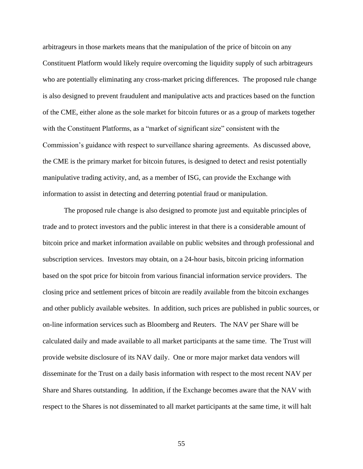arbitrageurs in those markets means that the manipulation of the price of bitcoin on any Constituent Platform would likely require overcoming the liquidity supply of such arbitrageurs who are potentially eliminating any cross-market pricing differences. The proposed rule change is also designed to prevent fraudulent and manipulative acts and practices based on the function of the CME, either alone as the sole market for bitcoin futures or as a group of markets together with the Constituent Platforms, as a "market of significant size" consistent with the Commission's guidance with respect to surveillance sharing agreements. As discussed above, the CME is the primary market for bitcoin futures, is designed to detect and resist potentially manipulative trading activity, and, as a member of ISG, can provide the Exchange with information to assist in detecting and deterring potential fraud or manipulation.

The proposed rule change is also designed to promote just and equitable principles of trade and to protect investors and the public interest in that there is a considerable amount of bitcoin price and market information available on public websites and through professional and subscription services. Investors may obtain, on a 24-hour basis, bitcoin pricing information based on the spot price for bitcoin from various financial information service providers. The closing price and settlement prices of bitcoin are readily available from the bitcoin exchanges and other publicly available websites. In addition, such prices are published in public sources, or on-line information services such as Bloomberg and Reuters. The NAV per Share will be calculated daily and made available to all market participants at the same time. The Trust will provide website disclosure of its NAV daily. One or more major market data vendors will disseminate for the Trust on a daily basis information with respect to the most recent NAV per Share and Shares outstanding. In addition, if the Exchange becomes aware that the NAV with respect to the Shares is not disseminated to all market participants at the same time, it will halt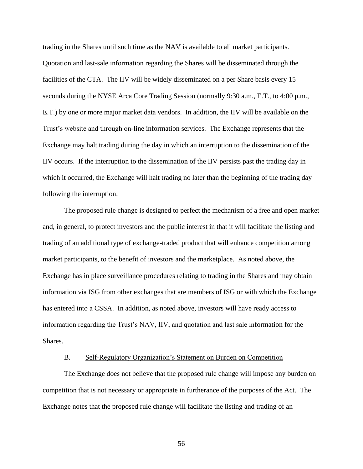trading in the Shares until such time as the NAV is available to all market participants. Quotation and last-sale information regarding the Shares will be disseminated through the facilities of the CTA. The IIV will be widely disseminated on a per Share basis every 15 seconds during the NYSE Arca Core Trading Session (normally 9:30 a.m., E.T., to 4:00 p.m., E.T.) by one or more major market data vendors. In addition, the IIV will be available on the Trust's website and through on-line information services. The Exchange represents that the Exchange may halt trading during the day in which an interruption to the dissemination of the IIV occurs. If the interruption to the dissemination of the IIV persists past the trading day in which it occurred, the Exchange will halt trading no later than the beginning of the trading day following the interruption.

The proposed rule change is designed to perfect the mechanism of a free and open market and, in general, to protect investors and the public interest in that it will facilitate the listing and trading of an additional type of exchange-traded product that will enhance competition among market participants, to the benefit of investors and the marketplace. As noted above, the Exchange has in place surveillance procedures relating to trading in the Shares and may obtain information via ISG from other exchanges that are members of ISG or with which the Exchange has entered into a CSSA. In addition, as noted above, investors will have ready access to information regarding the Trust's NAV, IIV, and quotation and last sale information for the Shares.

## B. Self-Regulatory Organization's Statement on Burden on Competition

The Exchange does not believe that the proposed rule change will impose any burden on competition that is not necessary or appropriate in furtherance of the purposes of the Act. The Exchange notes that the proposed rule change will facilitate the listing and trading of an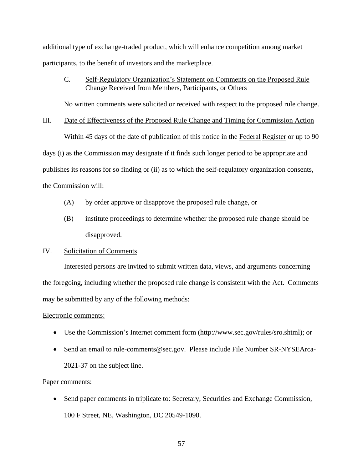additional type of exchange-traded product, which will enhance competition among market participants, to the benefit of investors and the marketplace.

# C. Self-Regulatory Organization's Statement on Comments on the Proposed Rule Change Received from Members, Participants, or Others

No written comments were solicited or received with respect to the proposed rule change.

## III. Date of Effectiveness of the Proposed Rule Change and Timing for Commission Action

Within 45 days of the date of publication of this notice in the Federal Register or up to 90 days (i) as the Commission may designate if it finds such longer period to be appropriate and publishes its reasons for so finding or (ii) as to which the self-regulatory organization consents, the Commission will:

- (A) by order approve or disapprove the proposed rule change, or
- (B) institute proceedings to determine whether the proposed rule change should be disapproved.

## IV. Solicitation of Comments

Interested persons are invited to submit written data, views, and arguments concerning the foregoing, including whether the proposed rule change is consistent with the Act. Comments may be submitted by any of the following methods:

## Electronic comments:

- Use the Commission's Internet comment form (http://www.sec.gov/rules/sro.shtml); or
- Send an email to rule-comments@sec.gov. Please include File Number SR-NYSEArca-2021-37 on the subject line.

## Paper comments:

 Send paper comments in triplicate to: Secretary, Securities and Exchange Commission, 100 F Street, NE, Washington, DC 20549-1090.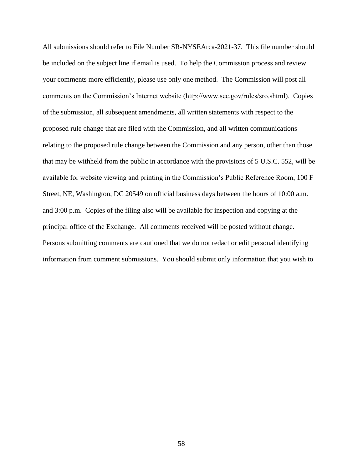All submissions should refer to File Number SR-NYSEArca-2021-37. This file number should be included on the subject line if email is used. To help the Commission process and review your comments more efficiently, please use only one method. The Commission will post all comments on the Commission's Internet website (http://www.sec.gov/rules/sro.shtml). Copies of the submission, all subsequent amendments, all written statements with respect to the proposed rule change that are filed with the Commission, and all written communications relating to the proposed rule change between the Commission and any person, other than those that may be withheld from the public in accordance with the provisions of 5 U.S.C. 552, will be available for website viewing and printing in the Commission's Public Reference Room, 100 F Street, NE, Washington, DC 20549 on official business days between the hours of 10:00 a.m. and 3:00 p.m. Copies of the filing also will be available for inspection and copying at the principal office of the Exchange. All comments received will be posted without change. Persons submitting comments are cautioned that we do not redact or edit personal identifying information from comment submissions. You should submit only information that you wish to